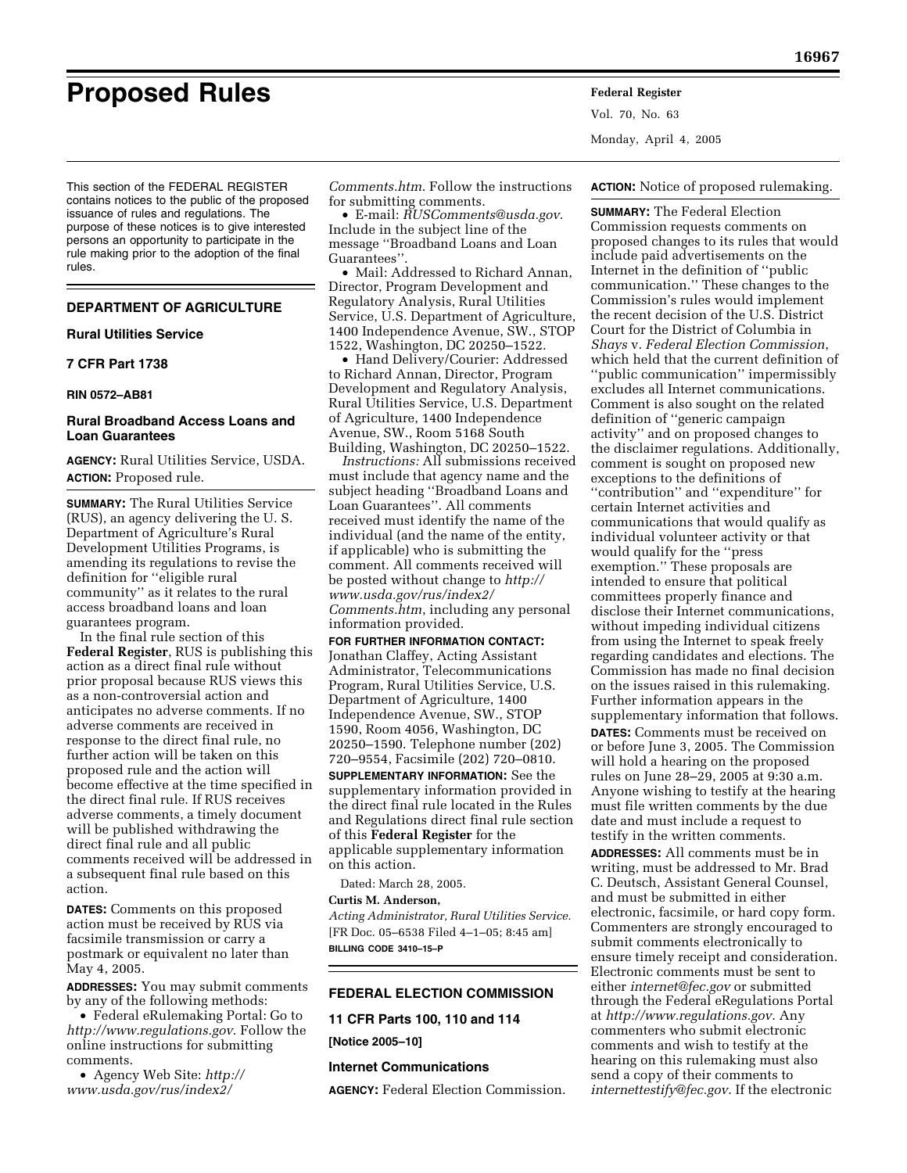This section of the FEDERAL REGISTER contains notices to the public of the proposed issuance of rules and regulations. The purpose of these notices is to give interested persons an opportunity to participate in the rule making prior to the adoption of the final rules.

# **DEPARTMENT OF AGRICULTURE**

#### **Rural Utilities Service**

# **7 CFR Part 1738**

#### **RIN 0572–AB81**

# **Rural Broadband Access Loans and Loan Guarantees**

**AGENCY:** Rural Utilities Service, USDA. **ACTION:** Proposed rule.

**SUMMARY:** The Rural Utilities Service (RUS), an agency delivering the U. S. Department of Agriculture's Rural Development Utilities Programs, is amending its regulations to revise the definition for ''eligible rural community'' as it relates to the rural access broadband loans and loan guarantees program.

In the final rule section of this **Federal Register**, RUS is publishing this action as a direct final rule without prior proposal because RUS views this as a non-controversial action and anticipates no adverse comments. If no adverse comments are received in response to the direct final rule, no further action will be taken on this proposed rule and the action will become effective at the time specified in the direct final rule. If RUS receives adverse comments, a timely document will be published withdrawing the direct final rule and all public comments received will be addressed in a subsequent final rule based on this action.

**DATES:** Comments on this proposed action must be received by RUS via facsimile transmission or carry a postmark or equivalent no later than May 4, 2005.

**ADDRESSES:** You may submit comments by any of the following methods:

• Federal eRulemaking Portal: Go to *<http://www.regulations.gov>*. Follow the online instructions for submitting comments.

• Agency Web Site: *http:// [www.usda.gov/rus/index2/](http://www.usda.gov/rus/index2/Comments.htm)*

*[Comments.htm](http://www.usda.gov/rus/index2/Comments.htm)*. Follow the instructions for submitting comments.

• E-mail: *[RUSComments@usda.gov](mailto:RUSComments@usda.gov)*. Include in the subject line of the message ''Broadband Loans and Loan Guarantees''.

• Mail: Addressed to Richard Annan, Director, Program Development and Regulatory Analysis, Rural Utilities Service, U.S. Department of Agriculture, 1400 Independence Avenue, SW., STOP 1522, Washington, DC 20250–1522.

• Hand Delivery/Courier: Addressed to Richard Annan, Director, Program Development and Regulatory Analysis, Rural Utilities Service, U.S. Department of Agriculture, 1400 Independence Avenue, SW., Room 5168 South Building, Washington, DC 20250–1522.

*Instructions:* All submissions received must include that agency name and the subject heading ''Broadband Loans and Loan Guarantees". All comments received must identify the name of the individual (and the name of the entity, if applicable) who is submitting the comment. All comments received will [be posted without change to](http://www.usda.gov/rus/index2/Comments.htm) *http:// www.usda.gov/rus/index2/ Comments.htm*, including any personal information provided.

**FOR FURTHER INFORMATION CONTACT:** Jonathan Claffey, Acting Assistant Administrator, Telecommunications Program, Rural Utilities Service, U.S. Department of Agriculture, 1400 Independence Avenue, SW., STOP 1590, Room 4056, Washington, DC 20250–1590. Telephone number (202) 720–9554, Facsimile (202) 720–0810.

**SUPPLEMENTARY INFORMATION:** See the supplementary information provided in the direct final rule located in the Rules and Regulations direct final rule section of this **Federal Register** for the applicable supplementary information on this action.

Dated: March 28, 2005.

#### **Curtis M. Anderson,**

*Acting Administrator, Rural Utilities Service.* [FR Doc. 05–6538 Filed 4–1–05; 8:45 am] **BILLING CODE 3410–15–P**

# **FEDERAL ELECTION COMMISSION**

**11 CFR Parts 100, 110 and 114** 

**[Notice 2005–10]** 

#### **Internet Communications**

**AGENCY:** Federal Election Commission.

**Proposed Rules Federal Register** Vol. 70, No. 63 Monday, April 4, 2005

**ACTION:** Notice of proposed rulemaking.

**SUMMARY:** The Federal Election Commission requests comments on proposed changes to its rules that would include paid advertisements on the Internet in the definition of ''public communication.'' These changes to the Commission's rules would implement the recent decision of the U.S. District Court for the District of Columbia in *Shays* v. *Federal Election Commission*, which held that the current definition of ''public communication'' impermissibly excludes all Internet communications. Comment is also sought on the related definition of ''generic campaign activity'' and on proposed changes to the disclaimer regulations. Additionally, comment is sought on proposed new exceptions to the definitions of ''contribution'' and ''expenditure'' for certain Internet activities and communications that would qualify as individual volunteer activity or that would qualify for the ''press exemption.'' These proposals are intended to ensure that political committees properly finance and disclose their Internet communications, without impeding individual citizens from using the Internet to speak freely regarding candidates and elections. The Commission has made no final decision on the issues raised in this rulemaking. Further information appears in the supplementary information that follows. **DATES:** Comments must be received on or before June 3, 2005. The Commission will hold a hearing on the proposed rules on June 28–29, 2005 at 9:30 a.m. Anyone wishing to testify at the hearing must file written comments by the due date and must include a request to testify in the written comments. **ADDRESSES:** All comments must be in writing, must be addressed to Mr. Brad C. Deutsch, Assistant General Counsel, and must be submitted in either electronic, facsimile, or hard copy form. Commenters are strongly encouraged to submit comments electronically to ensure timely receipt and consideration. Electronic comments must be sent to either *[internet@fec.gov](mailto:internet@fec.gov)* or submitted through the Federal eRegulations Portal at *<http://www.regulations.gov>*. Any commenters who submit electronic comments and wish to testify at the hearing on this rulemaking must also send a copy of their comments to *[internettestify@fec.gov](mailto:internettestify@fec.gov)*. If the electronic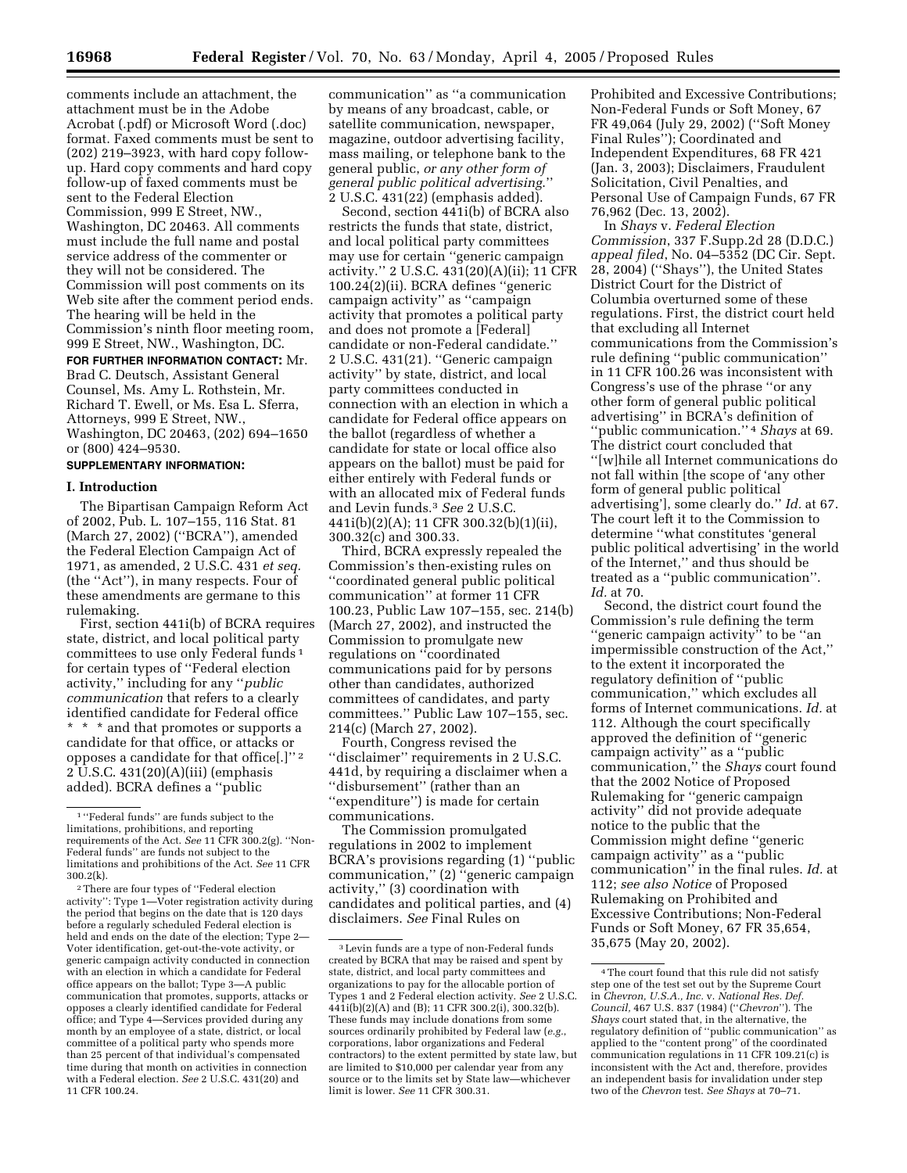comments include an attachment, the attachment must be in the Adobe Acrobat (.pdf) or Microsoft Word (.doc) format. Faxed comments must be sent to (202) 219–3923, with hard copy followup. Hard copy comments and hard copy follow-up of faxed comments must be sent to the Federal Election Commission, 999 E Street, NW., Washington, DC 20463. All comments must include the full name and postal service address of the commenter or they will not be considered. The Commission will post comments on its Web site after the comment period ends. The hearing will be held in the Commission's ninth floor meeting room, 999 E Street, NW., Washington, DC.

**FOR FURTHER INFORMATION CONTACT:** Mr. Brad C. Deutsch, Assistant General Counsel, Ms. Amy L. Rothstein, Mr. Richard T. Ewell, or Ms. Esa L. Sferra, Attorneys, 999 E Street, NW., Washington, DC 20463, (202) 694–1650 or (800) 424–9530.

# **SUPPLEMENTARY INFORMATION:**

### **I. Introduction**

The Bipartisan Campaign Reform Act of 2002, Pub. L. 107–155, 116 Stat. 81 (March 27, 2002) (''BCRA''), amended the Federal Election Campaign Act of 1971, as amended, 2 U.S.C. 431 *et seq.* (the ''Act''), in many respects. Four of these amendments are germane to this rulemaking.

First, section 441i(b) of BCRA requires state, district, and local political party committees to use only Federal funds 1 for certain types of ''Federal election activity,'' including for any ''*public communication* that refers to a clearly identified candidate for Federal office \* \* \* and that promotes or supports a candidate for that office, or attacks or opposes a candidate for that office[.]'' 2 2 U.S.C. 431(20)(A)(iii) (emphasis added). BCRA defines a ''public

communication'' as ''a communication by means of any broadcast, cable, or satellite communication, newspaper, magazine, outdoor advertising facility, mass mailing, or telephone bank to the general public, *or any other form of general public political advertising*.'' 2 U.S.C. 431(22) (emphasis added).

Second, section 441i(b) of BCRA also restricts the funds that state, district, and local political party committees may use for certain ''generic campaign activity.'' 2 U.S.C. 431(20)(A)(ii); 11 CFR 100.24(2)(ii). BCRA defines ''generic campaign activity'' as ''campaign activity that promotes a political party and does not promote a [Federal] candidate or non-Federal candidate.'' 2 U.S.C. 431(21). ''Generic campaign activity'' by state, district, and local party committees conducted in connection with an election in which a candidate for Federal office appears on the ballot (regardless of whether a candidate for state or local office also appears on the ballot) must be paid for either entirely with Federal funds or with an allocated mix of Federal funds and Levin funds.3 *See* 2 U.S.C. 441i(b)(2)(A); 11 CFR 300.32(b)(1)(ii), 300.32(c) and 300.33.

Third, BCRA expressly repealed the Commission's then-existing rules on ''coordinated general public political communication'' at former 11 CFR 100.23, Public Law 107–155, sec. 214(b) (March 27, 2002), and instructed the Commission to promulgate new regulations on ''coordinated communications paid for by persons other than candidates, authorized committees of candidates, and party committees.'' Public Law 107–155, sec. 214(c) (March 27, 2002).

Fourth, Congress revised the ''disclaimer'' requirements in 2 U.S.C. 441d, by requiring a disclaimer when a ''disbursement'' (rather than an ''expenditure'') is made for certain communications.

The Commission promulgated regulations in 2002 to implement BCRA's provisions regarding (1) ''public communication,'' (2) ''generic campaign activity,'' (3) coordination with candidates and political parties, and (4) disclaimers. *See* Final Rules on

Prohibited and Excessive Contributions; Non-Federal Funds or Soft Money, 67 FR 49,064 (July 29, 2002) (''Soft Money Final Rules''); Coordinated and Independent Expenditures, 68 FR 421 (Jan. 3, 2003); Disclaimers, Fraudulent Solicitation, Civil Penalties, and Personal Use of Campaign Funds, 67 FR 76,962 (Dec. 13, 2002).

In *Shays* v. *Federal Election Commission*, 337 F.Supp.2d 28 (D.D.C.) *appeal filed*, No. 04–5352 (DC Cir. Sept. 28, 2004) (''Shays''), the United States District Court for the District of Columbia overturned some of these regulations. First, the district court held that excluding all Internet communications from the Commission's rule defining ''public communication'' in 11 CFR 100.26 was inconsistent with Congress's use of the phrase ''or any other form of general public political advertising'' in BCRA's definition of ''public communication.'' 4 *Shays* at 69. The district court concluded that ''[w]hile all Internet communications do not fall within [the scope of 'any other form of general public political advertising'], some clearly do.'' *Id.* at 67. The court left it to the Commission to determine ''what constitutes 'general public political advertising' in the world of the Internet,'' and thus should be treated as a ''public communication''. *Id.* at 70.

Second, the district court found the Commission's rule defining the term ''generic campaign activity'' to be ''an impermissible construction of the Act,'' to the extent it incorporated the regulatory definition of ''public communication,'' which excludes all forms of Internet communications. *Id.* at 112. Although the court specifically approved the definition of ''generic campaign activity'' as a ''public communication,'' the *Shays* court found that the 2002 Notice of Proposed Rulemaking for ''generic campaign activity'' did not provide adequate notice to the public that the Commission might define ''generic campaign activity'' as a ''public communication'' in the final rules. *Id.* at 112; *see also Notice* of Proposed Rulemaking on Prohibited and Excessive Contributions; Non-Federal Funds or Soft Money, 67 FR 35,654, 35,675 (May 20, 2002).

<sup>1</sup> ''Federal funds'' are funds subject to the limitations, prohibitions, and reporting requirements of the Act. *See* 11 CFR 300.2(g). ''Non-Federal funds'' are funds not subject to the limitations and prohibitions of the Act. *See* 11 CFR 300.2(k).

<sup>2</sup>There are four types of ''Federal election activity'': Type 1—Voter registration activity during the period that begins on the date that is 120 days before a regularly scheduled Federal election is held and ends on the date of the election; Type 2— Voter identification, get-out-the-vote activity, or generic campaign activity conducted in connection with an election in which a candidate for Federal office appears on the ballot; Type 3—A public communication that promotes, supports, attacks or opposes a clearly identified candidate for Federal office; and Type 4—Services provided during any month by an employee of a state, district, or local committee of a political party who spends more than 25 percent of that individual's compensated time during that month on activities in connection with a Federal election. *See* 2 U.S.C. 431(20) and 11 CFR 100.24.

<sup>3</sup>Levin funds are a type of non-Federal funds created by BCRA that may be raised and spent by state, district, and local party committees and organizations to pay for the allocable portion of Types 1 and 2 Federal election activity. *See* 2 U.S.C.  $441i(b)(2)(A)$  and (B); 11 CFR 300.2(i), 300.32(b). These funds may include donations from some sources ordinarily prohibited by Federal law (*e.g.*, corporations, labor organizations and Federal contractors) to the extent permitted by state law, but are limited to \$10,000 per calendar year from any source or to the limits set by State law—whichever limit is lower. *See* 11 CFR 300.31.

<sup>4</sup>The court found that this rule did not satisfy step one of the test set out by the Supreme Court in *Chevron, U.S.A., Inc.* v. *National Res. Def. Council,* 467 U.S. 837 (1984) (''*Chevron*''). The *Shays* court stated that, in the alternative, the regulatory definition of ''public communication'' as applied to the ''content prong'' of the coordinated communication regulations in 11 CFR 109.21(c) is inconsistent with the Act and, therefore, provides an independent basis for invalidation under step two of the *Chevron* test. *See Shays* at 70–71.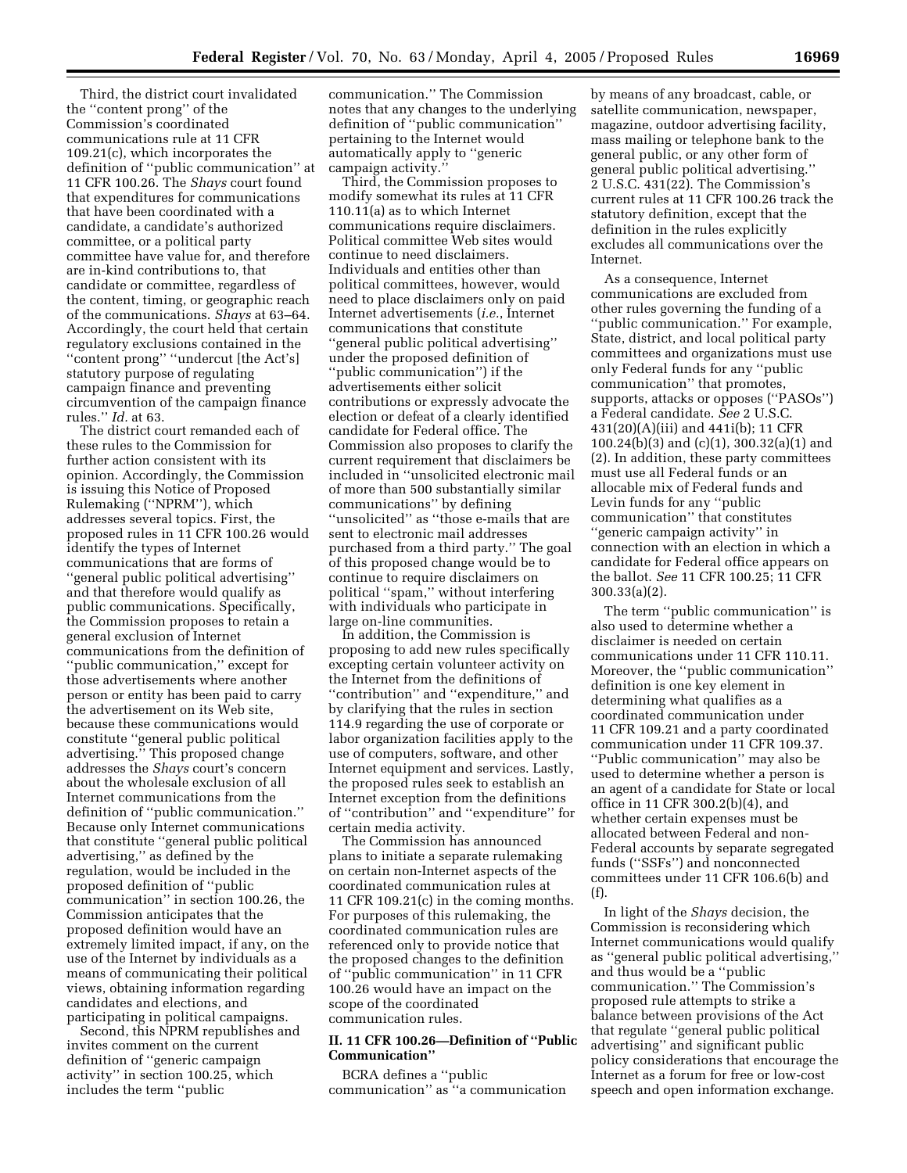Third, the district court invalidated the ''content prong'' of the Commission's coordinated communications rule at 11 CFR 109.21(c), which incorporates the definition of ''public communication'' at 11 CFR 100.26. The *Shays* court found that expenditures for communications that have been coordinated with a candidate, a candidate's authorized committee, or a political party committee have value for, and therefore are in-kind contributions to, that candidate or committee, regardless of the content, timing, or geographic reach of the communications. *Shays* at 63–64. Accordingly, the court held that certain regulatory exclusions contained in the ''content prong'' ''undercut [the Act's] statutory purpose of regulating campaign finance and preventing circumvention of the campaign finance rules.'' *Id.* at 63.

The district court remanded each of these rules to the Commission for further action consistent with its opinion. Accordingly, the Commission is issuing this Notice of Proposed Rulemaking (''NPRM''), which addresses several topics. First, the proposed rules in 11 CFR 100.26 would identify the types of Internet communications that are forms of ''general public political advertising'' and that therefore would qualify as public communications. Specifically, the Commission proposes to retain a general exclusion of Internet communications from the definition of ''public communication,'' except for those advertisements where another person or entity has been paid to carry the advertisement on its Web site, because these communications would constitute ''general public political advertising.'' This proposed change addresses the *Shays* court's concern about the wholesale exclusion of all Internet communications from the definition of ''public communication.'' Because only Internet communications that constitute ''general public political advertising,'' as defined by the regulation, would be included in the proposed definition of ''public communication'' in section 100.26, the Commission anticipates that the proposed definition would have an extremely limited impact, if any, on the use of the Internet by individuals as a means of communicating their political views, obtaining information regarding candidates and elections, and participating in political campaigns.

Second, this NPRM republishes and invites comment on the current definition of ''generic campaign activity'' in section 100.25, which includes the term ''public

communication.'' The Commission notes that any changes to the underlying definition of ''public communication'' pertaining to the Internet would automatically apply to ''generic campaign activity.''

Third, the Commission proposes to modify somewhat its rules at 11 CFR 110.11(a) as to which Internet communications require disclaimers. Political committee Web sites would continue to need disclaimers. Individuals and entities other than political committees, however, would need to place disclaimers only on paid Internet advertisements (*i.e.*, Internet communications that constitute ''general public political advertising'' under the proposed definition of ''public communication'') if the advertisements either solicit contributions or expressly advocate the election or defeat of a clearly identified candidate for Federal office. The Commission also proposes to clarify the current requirement that disclaimers be included in ''unsolicited electronic mail of more than 500 substantially similar communications'' by defining ''unsolicited'' as ''those e-mails that are sent to electronic mail addresses purchased from a third party.'' The goal of this proposed change would be to continue to require disclaimers on political ''spam,'' without interfering with individuals who participate in large on-line communities.

In addition, the Commission is proposing to add new rules specifically excepting certain volunteer activity on the Internet from the definitions of ''contribution'' and ''expenditure,'' and by clarifying that the rules in section 114.9 regarding the use of corporate or labor organization facilities apply to the use of computers, software, and other Internet equipment and services. Lastly, the proposed rules seek to establish an Internet exception from the definitions of ''contribution'' and ''expenditure'' for certain media activity.

The Commission has announced plans to initiate a separate rulemaking on certain non-Internet aspects of the coordinated communication rules at 11 CFR 109.21(c) in the coming months. For purposes of this rulemaking, the coordinated communication rules are referenced only to provide notice that the proposed changes to the definition of ''public communication'' in 11 CFR 100.26 would have an impact on the scope of the coordinated communication rules.

# **II. 11 CFR 100.26—Definition of ''Public Communication''**

BCRA defines a ''public communication'' as ''a communication

by means of any broadcast, cable, or satellite communication, newspaper, magazine, outdoor advertising facility, mass mailing or telephone bank to the general public, or any other form of general public political advertising.'' 2 U.S.C. 431(22). The Commission's current rules at 11 CFR 100.26 track the statutory definition, except that the definition in the rules explicitly excludes all communications over the Internet.

As a consequence, Internet communications are excluded from other rules governing the funding of a ''public communication.'' For example, State, district, and local political party committees and organizations must use only Federal funds for any ''public communication'' that promotes, supports, attacks or opposes (''PASOs'') a Federal candidate. *See* 2 U.S.C. 431(20)(A)(iii) and 441i(b); 11 CFR 100.24(b)(3) and (c)(1), 300.32(a)(1) and (2). In addition, these party committees must use all Federal funds or an allocable mix of Federal funds and Levin funds for any ''public communication'' that constitutes ''generic campaign activity'' in connection with an election in which a candidate for Federal office appears on the ballot. *See* 11 CFR 100.25; 11 CFR 300.33(a)(2).

The term ''public communication'' is also used to determine whether a disclaimer is needed on certain communications under 11 CFR 110.11. Moreover, the ''public communication'' definition is one key element in determining what qualifies as a coordinated communication under 11 CFR 109.21 and a party coordinated communication under 11 CFR 109.37. ''Public communication'' may also be used to determine whether a person is an agent of a candidate for State or local office in 11 CFR 300.2(b)(4), and whether certain expenses must be allocated between Federal and non-Federal accounts by separate segregated funds (''SSFs'') and nonconnected committees under 11 CFR 106.6(b) and (f).

In light of the *Shays* decision, the Commission is reconsidering which Internet communications would qualify as ''general public political advertising,'' and thus would be a ''public communication.'' The Commission's proposed rule attempts to strike a balance between provisions of the Act that regulate ''general public political advertising'' and significant public policy considerations that encourage the Internet as a forum for free or low-cost speech and open information exchange.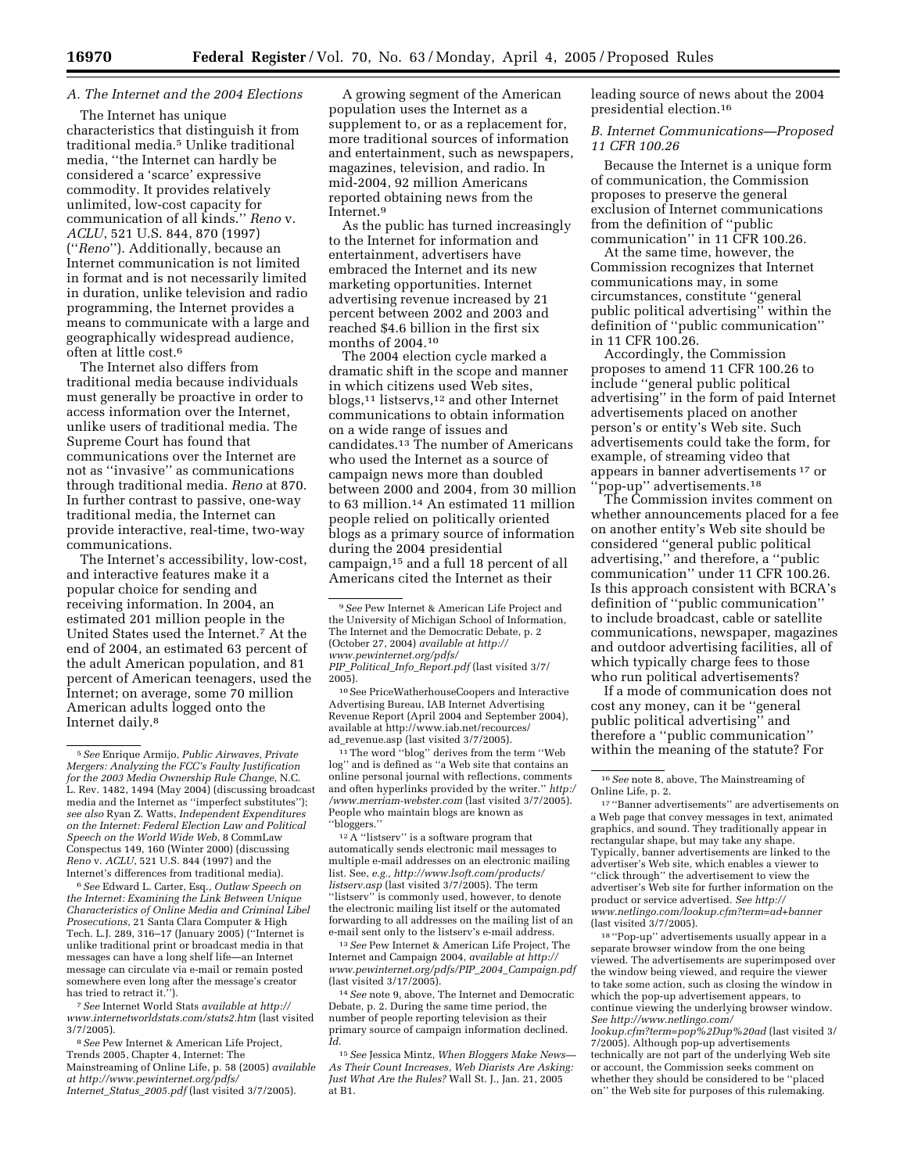# *A. The Internet and the 2004 Elections*

The Internet has unique characteristics that distinguish it from traditional media.5 Unlike traditional media, ''the Internet can hardly be considered a 'scarce' expressive commodity. It provides relatively unlimited, low-cost capacity for communication of all kinds.'' *Reno* v. *ACLU*, 521 U.S. 844, 870 (1997) (''*Reno*''). Additionally, because an Internet communication is not limited in format and is not necessarily limited in duration, unlike television and radio programming, the Internet provides a means to communicate with a large and geographically widespread audience, often at little cost.6

The Internet also differs from traditional media because individuals must generally be proactive in order to access information over the Internet, unlike users of traditional media. The Supreme Court has found that communications over the Internet are not as ''invasive'' as communications through traditional media. *Reno* at 870. In further contrast to passive, one-way traditional media, the Internet can provide interactive, real-time, two-way communications.

The Internet's accessibility, low-cost, and interactive features make it a popular choice for sending and receiving information. In 2004, an estimated 201 million people in the United States used the Internet.7 At the end of 2004, an estimated 63 percent of the adult American population, and 81 percent of American teenagers, used the Internet; on average, some 70 million American adults logged onto the Internet daily.8

6*See* Edward L. Carter, Esq., *Outlaw Speech on the Internet: Examining the Link Between Unique Characteristics of Online Media and Criminal Libel Prosecutions*, 21 Santa Clara Computer & High Tech. L.J. 289, 316–17 (January 2005) (''Internet is unlike traditional print or broadcast media in that messages can have a long shelf life—an Internet message can circulate via e-mail or remain posted somewhere even long after the message's creator has tried to retract it."

7*See* Internet World Stats *available at http:// [www.internetworldstats.com/stats2.htm](http://www.internetworldstats.com/stats2.htm)* (last visited 3/7/2005).

8*See* Pew Internet & American Life Project, Trends 2005, Chapter 4, Internet: The Mainstreaming of Online Life, p. 58 (2005) *available [at http://www.pewinternet.org/pdfs/](http://www.pewinternet.org/pdfs/Internet_Status_2005.pdf) Internet*\_*Status*\_*2005.pdf* (last visited 3/7/2005).

A growing segment of the American population uses the Internet as a supplement to, or as a replacement for, more traditional sources of information and entertainment, such as newspapers, magazines, television, and radio. In mid-2004, 92 million Americans reported obtaining news from the Internet.9

As the public has turned increasingly to the Internet for information and entertainment, advertisers have embraced the Internet and its new marketing opportunities. Internet advertising revenue increased by 21 percent between 2002 and 2003 and reached \$4.6 billion in the first six months of 2004.10

The 2004 election cycle marked a dramatic shift in the scope and manner in which citizens used Web sites, blogs,11 listservs,12 and other Internet communications to obtain information on a wide range of issues and candidates.13 The number of Americans who used the Internet as a source of campaign news more than doubled between 2000 and 2004, from 30 million to 63 million.14 An estimated 11 million people relied on politically oriented blogs as a primary source of information during the 2004 presidential campaign,15 and a full 18 percent of all Americans cited the Internet as their

10See PriceWatherhouseCoopers and Interactive Advertising Bureau, IAB Internet Advertising Revenue Report (April 2004 and September 2004), [available at http://www.iab.net/recources/](http://www.iab.net/recources/ad_revenue.asp) ad\_revenue.asp (last visited 3/7/2005).

 $^{\rm 11}\!$  The word ''blog'' derives from the term ''Web log'' and is defined as ''a Web site that contains an online personal journal with reflections, comments [and often hyperlinks provided by the writer.''](http://www.merriam-webster.com) *http:/ /www.merriam-webster.com* (last visited 3/7/2005). People who maintain blogs are known as ''bloggers.''

12A ''listserv'' is a software program that automatically sends electronic mail messages to multiple e-mail addresses on an electronic mailing list. See, *[e.g., http://www.lsoft.com/products/](http://www.lsoft.com/products/listserv.asp) listserv.asp* (last visited 3/7/2005). The term "listserv" is commonly used, however, to denote the electronic mailing list itself or the automated forwarding to all addresses on the mailing list of an e-mail sent only to the listserv's e-mail address.

13*See* Pew Internet & American Life Project, The Internet and Campaign 2004, *available at http:// [www.pewinternet.org/pdfs/PIP](http://www.pewinternet.org/pdfs/PIP_2004_Campaign.pdf)*\_*2004*\_*Campaign.pdf* (last visited 3/17/2005).

14*See* note 9, above, The Internet and Democratic Debate, p. 2. During the same time period, the number of people reporting television as their primary source of campaign information declined. *Id*.

15*See* Jessica Mintz, *When Bloggers Make News— As Their Count Increases, Web Diarists Are Asking: Just What Are the Rules?* Wall St. J., Jan. 21, 2005 at B1.

leading source of news about the 2004 presidential election.16

*B. Internet Communications—Proposed 11 CFR 100.26* 

Because the Internet is a unique form of communication, the Commission proposes to preserve the general exclusion of Internet communications from the definition of ''public communication'' in 11 CFR 100.26.

At the same time, however, the Commission recognizes that Internet communications may, in some circumstances, constitute ''general public political advertising'' within the definition of ''public communication'' in 11 CFR 100.26.

Accordingly, the Commission proposes to amend 11 CFR 100.26 to include ''general public political advertising'' in the form of paid Internet advertisements placed on another person's or entity's Web site. Such advertisements could take the form, for example, of streaming video that appears in banner advertisements 17 or ''pop-up'' advertisements.18

The Commission invites comment on whether announcements placed for a fee on another entity's Web site should be considered ''general public political advertising,'' and therefore, a ''public communication'' under 11 CFR 100.26. Is this approach consistent with BCRA's definition of ''public communication'' to include broadcast, cable or satellite communications, newspaper, magazines and outdoor advertising facilities, all of which typically charge fees to those who run political advertisements?

If a mode of communication does not cost any money, can it be ''general public political advertising'' and therefore a ''public communication'' within the meaning of the statute? For

18 ''Pop-up'' advertisements usually appear in a separate browser window from the one being viewed. The advertisements are superimposed over the window being viewed, and require the viewer to take some action, such as closing the window in which the pop-up advertisement appears, to continue viewing the underlying browser window. *See http://www.netlingo.com/*

*[lookup.cfm?term=pop%2Dup%20ad](http://www.netlingo.com/lookup.cfm?term=pop%2Dup%20ad)* (last visited 3/ 7/2005). Although pop-up advertisements technically are not part of the underlying Web site or account, the Commission seeks comment on whether they should be considered to be ''placed on'' the Web site for purposes of this rulemaking.

<sup>5</sup>*See* Enrique Armijo, *Public Airwaves, Private Mergers: Analyzing the FCC's Faulty Justification for the 2003 Media Ownership Rule Change*, N.C. L. Rev. 1482, 1494 (May 2004) (discussing broadcast media and the Internet as ''imperfect substitutes''); *see also* Ryan Z. Watts, *Independent Expenditures on the Internet: Federal Election Law and Political Speech on the World Wide Web*, 8 CommLaw Conspectus 149, 160 (Winter 2000) (discussing *Reno* v. *ACLU*, 521 U.S. 844 (1997) and the Internet's differences from traditional media).

<sup>9</sup>*See* Pew Internet & American Life Project and the University of Michigan School of Information, The Internet and the Democratic Debate, p. 2 (October 27, 2004) *available at http:// [www.pewinternet.org/pdfs/](http://www.pewinternet.org/pdfs/PIP_Political_Info_Report.pdf) PIP*\_*Political*\_*Info*\_*Report.pdf* (last visited 3/7/ 2005).

<sup>16</sup>*See* note 8, above, The Mainstreaming of Online Life, p. 2.

<sup>17</sup> ''Banner advertisements'' are advertisements on a Web page that convey messages in text, animated graphics, and sound. They traditionally appear in rectangular shape, but may take any shape. Typically, banner advertisements are linked to the advertiser's Web site, which enables a viewer to ''click through'' the advertisement to view the advertiser's Web site for further information on the product or service advertised. *See http:// [www.netlingo.com/lookup.cfm?term=ad+banner](http://www.netlingo.com/lookup.cfm?term=ad+banner)* (last visited 3/7/2005).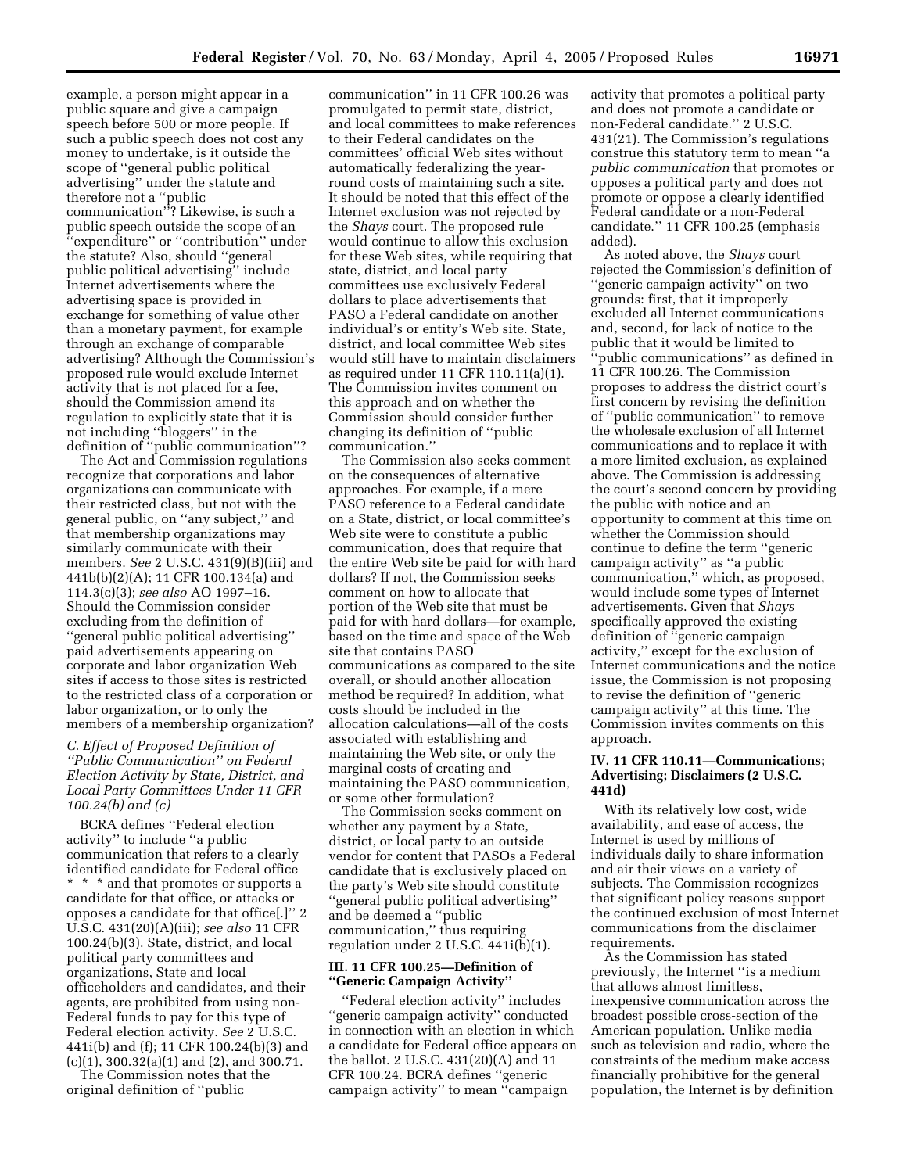example, a person might appear in a public square and give a campaign speech before 500 or more people. If such a public speech does not cost any money to undertake, is it outside the scope of ''general public political advertising'' under the statute and therefore not a ''public communication''? Likewise, is such a public speech outside the scope of an ''expenditure'' or ''contribution'' under the statute? Also, should ''general public political advertising'' include Internet advertisements where the advertising space is provided in exchange for something of value other than a monetary payment, for example through an exchange of comparable advertising? Although the Commission's proposed rule would exclude Internet activity that is not placed for a fee, should the Commission amend its regulation to explicitly state that it is not including ''bloggers'' in the definition of ''public communication''?

The Act and Commission regulations recognize that corporations and labor organizations can communicate with their restricted class, but not with the general public, on ''any subject,'' and that membership organizations may similarly communicate with their members. *See* 2 U.S.C. 431(9)(B)(iii) and 441b(b)(2)(A); 11 CFR 100.134(a) and 114.3(c)(3); *see also* AO 1997–16. Should the Commission consider excluding from the definition of ''general public political advertising'' paid advertisements appearing on corporate and labor organization Web sites if access to those sites is restricted to the restricted class of a corporation or labor organization, or to only the members of a membership organization?

### *C. Effect of Proposed Definition of ''Public Communication'' on Federal Election Activity by State, District, and Local Party Committees Under 11 CFR 100.24(b) and (c)*

BCRA defines ''Federal election activity'' to include ''a public communication that refers to a clearly identified candidate for Federal office \* \* \* and that promotes or supports a candidate for that office, or attacks or opposes a candidate for that office[.]'' 2 U.S.C. 431(20)(A)(iii); *see also* 11 CFR 100.24(b)(3). State, district, and local political party committees and organizations, State and local officeholders and candidates, and their agents, are prohibited from using non-Federal funds to pay for this type of Federal election activity. *See* 2 U.S.C. 441i(b) and (f); 11 CFR 100.24(b)(3) and (c)(1), 300.32(a)(1) and (2), and 300.71.

The Commission notes that the original definition of ''public

communication'' in 11 CFR 100.26 was promulgated to permit state, district, and local committees to make references to their Federal candidates on the committees' official Web sites without automatically federalizing the yearround costs of maintaining such a site. It should be noted that this effect of the Internet exclusion was not rejected by the *Shays* court. The proposed rule would continue to allow this exclusion for these Web sites, while requiring that state, district, and local party committees use exclusively Federal dollars to place advertisements that PASO a Federal candidate on another individual's or entity's Web site. State, district, and local committee Web sites would still have to maintain disclaimers as required under 11 CFR 110.11(a)(1). The Commission invites comment on this approach and on whether the Commission should consider further changing its definition of ''public communication.''

The Commission also seeks comment on the consequences of alternative approaches. For example, if a mere PASO reference to a Federal candidate on a State, district, or local committee's Web site were to constitute a public communication, does that require that the entire Web site be paid for with hard dollars? If not, the Commission seeks comment on how to allocate that portion of the Web site that must be paid for with hard dollars—for example, based on the time and space of the Web site that contains PASO communications as compared to the site overall, or should another allocation method be required? In addition, what costs should be included in the allocation calculations—all of the costs associated with establishing and maintaining the Web site, or only the marginal costs of creating and maintaining the PASO communication, or some other formulation?

The Commission seeks comment on whether any payment by a State, district, or local party to an outside vendor for content that PASOs a Federal candidate that is exclusively placed on the party's Web site should constitute ''general public political advertising'' and be deemed a ''public communication,'' thus requiring regulation under 2 U.S.C. 441i(b)(1).

# **III. 11 CFR 100.25—Definition of ''Generic Campaign Activity''**

''Federal election activity'' includes ''generic campaign activity'' conducted in connection with an election in which a candidate for Federal office appears on the ballot. 2 U.S.C. 431(20)(A) and 11 CFR 100.24. BCRA defines ''generic campaign activity'' to mean ''campaign

activity that promotes a political party and does not promote a candidate or non-Federal candidate.'' 2 U.S.C. 431(21). The Commission's regulations construe this statutory term to mean ''a *public communication* that promotes or opposes a political party and does not promote or oppose a clearly identified Federal candidate or a non-Federal candidate.'' 11 CFR 100.25 (emphasis added).

As noted above, the *Shays* court rejected the Commission's definition of ''generic campaign activity'' on two grounds: first, that it improperly excluded all Internet communications and, second, for lack of notice to the public that it would be limited to 'public communications'' as defined in 11 CFR 100.26. The Commission proposes to address the district court's first concern by revising the definition of ''public communication'' to remove the wholesale exclusion of all Internet communications and to replace it with a more limited exclusion, as explained above. The Commission is addressing the court's second concern by providing the public with notice and an opportunity to comment at this time on whether the Commission should continue to define the term ''generic campaign activity'' as ''a public communication,'' which, as proposed, would include some types of Internet advertisements. Given that *Shays* specifically approved the existing definition of ''generic campaign activity,'' except for the exclusion of Internet communications and the notice issue, the Commission is not proposing to revise the definition of ''generic campaign activity'' at this time. The Commission invites comments on this approach.

### **IV. 11 CFR 110.11—Communications; Advertising; Disclaimers (2 U.S.C. 441d)**

With its relatively low cost, wide availability, and ease of access, the Internet is used by millions of individuals daily to share information and air their views on a variety of subjects. The Commission recognizes that significant policy reasons support the continued exclusion of most Internet communications from the disclaimer requirements.

As the Commission has stated previously, the Internet ''is a medium that allows almost limitless, inexpensive communication across the broadest possible cross-section of the American population. Unlike media such as television and radio, where the constraints of the medium make access financially prohibitive for the general population, the Internet is by definition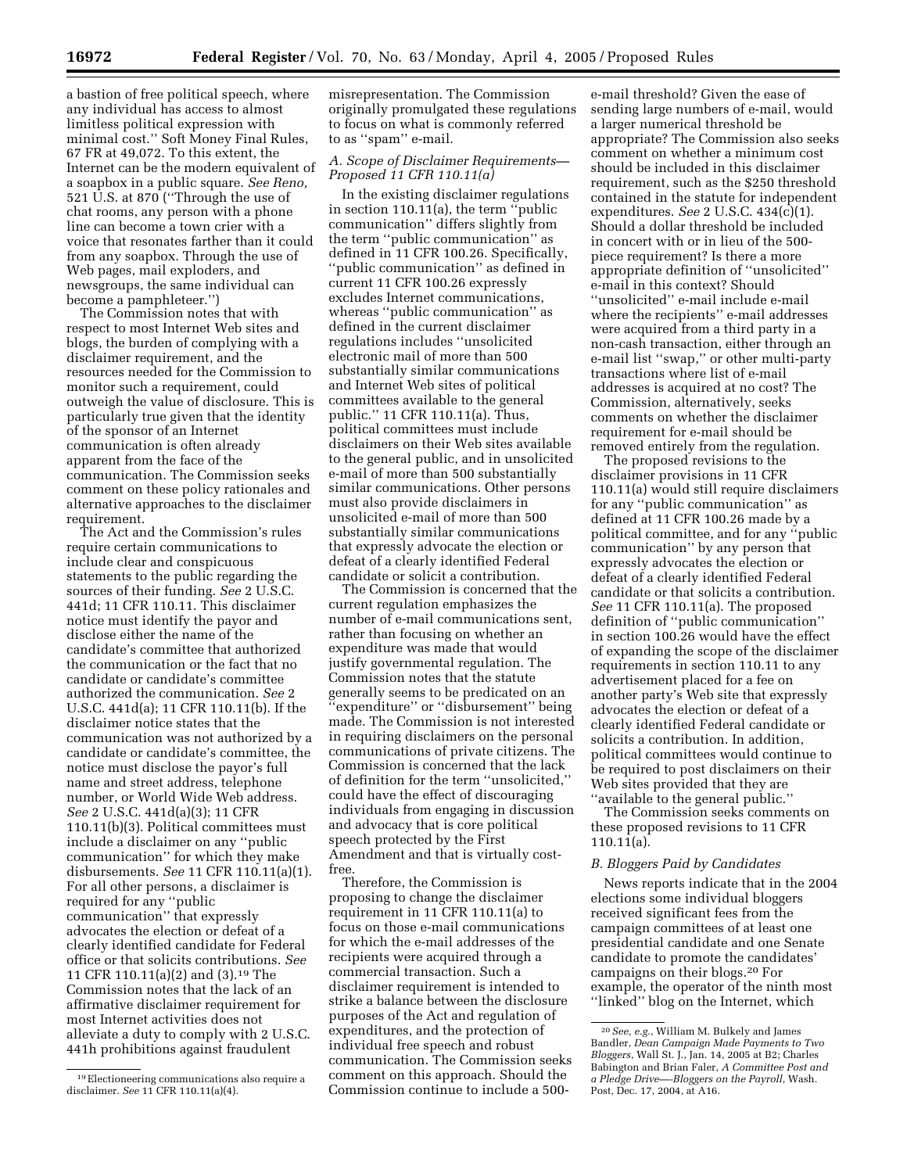a bastion of free political speech, where any individual has access to almost limitless political expression with minimal cost.'' Soft Money Final Rules, 67 FR at 49,072. To this extent, the Internet can be the modern equivalent of a soapbox in a public square. *See Reno,* 521 U.S. at 870 (''Through the use of chat rooms, any person with a phone line can become a town crier with a voice that resonates farther than it could from any soapbox. Through the use of Web pages, mail exploders, and newsgroups, the same individual can become a pamphleteer.'')

The Commission notes that with respect to most Internet Web sites and blogs, the burden of complying with a disclaimer requirement, and the resources needed for the Commission to monitor such a requirement, could outweigh the value of disclosure. This is particularly true given that the identity of the sponsor of an Internet communication is often already apparent from the face of the communication. The Commission seeks comment on these policy rationales and alternative approaches to the disclaimer requirement.

The Act and the Commission's rules require certain communications to include clear and conspicuous statements to the public regarding the sources of their funding. *See* 2 U.S.C. 441d; 11 CFR 110.11. This disclaimer notice must identify the payor and disclose either the name of the candidate's committee that authorized the communication or the fact that no candidate or candidate's committee authorized the communication. *See* 2 U.S.C. 441d(a); 11 CFR 110.11(b). If the disclaimer notice states that the communication was not authorized by a candidate or candidate's committee, the notice must disclose the payor's full name and street address, telephone number, or World Wide Web address. *See* 2 U.S.C. 441d(a)(3); 11 CFR 110.11(b)(3). Political committees must include a disclaimer on any ''public communication'' for which they make disbursements. *See* 11 CFR 110.11(a)(1). For all other persons, a disclaimer is required for any ''public communication'' that expressly advocates the election or defeat of a clearly identified candidate for Federal office or that solicits contributions. *See* 11 CFR 110.11(a)(2) and (3).19 The Commission notes that the lack of an affirmative disclaimer requirement for most Internet activities does not alleviate a duty to comply with 2 U.S.C. 441h prohibitions against fraudulent

misrepresentation. The Commission originally promulgated these regulations to focus on what is commonly referred to as ''spam'' e-mail.

# *A. Scope of Disclaimer Requirements— Proposed 11 CFR 110.11(a)*

In the existing disclaimer regulations in section 110.11(a), the term ''public communication'' differs slightly from the term ''public communication'' as defined in 11 CFR 100.26. Specifically, ''public communication'' as defined in current 11 CFR 100.26 expressly excludes Internet communications, whereas ''public communication'' as defined in the current disclaimer regulations includes ''unsolicited electronic mail of more than 500 substantially similar communications and Internet Web sites of political committees available to the general public.'' 11 CFR 110.11(a). Thus, political committees must include disclaimers on their Web sites available to the general public, and in unsolicited e-mail of more than 500 substantially similar communications. Other persons must also provide disclaimers in unsolicited e-mail of more than 500 substantially similar communications that expressly advocate the election or defeat of a clearly identified Federal candidate or solicit a contribution.

The Commission is concerned that the current regulation emphasizes the number of e-mail communications sent, rather than focusing on whether an expenditure was made that would justify governmental regulation. The Commission notes that the statute generally seems to be predicated on an ''expenditure'' or ''disbursement'' being made. The Commission is not interested in requiring disclaimers on the personal communications of private citizens. The Commission is concerned that the lack of definition for the term ''unsolicited,'' could have the effect of discouraging individuals from engaging in discussion and advocacy that is core political speech protected by the First Amendment and that is virtually costfree.

Therefore, the Commission is proposing to change the disclaimer requirement in 11 CFR 110.11(a) to focus on those e-mail communications for which the e-mail addresses of the recipients were acquired through a commercial transaction. Such a disclaimer requirement is intended to strike a balance between the disclosure purposes of the Act and regulation of expenditures, and the protection of individual free speech and robust communication. The Commission seeks comment on this approach. Should the Commission continue to include a 500-

e-mail threshold? Given the ease of sending large numbers of e-mail, would a larger numerical threshold be appropriate? The Commission also seeks comment on whether a minimum cost should be included in this disclaimer requirement, such as the \$250 threshold contained in the statute for independent expenditures. *See* 2 U.S.C. 434(c)(1). Should a dollar threshold be included in concert with or in lieu of the 500 piece requirement? Is there a more appropriate definition of ''unsolicited'' e-mail in this context? Should ''unsolicited'' e-mail include e-mail where the recipients'' e-mail addresses were acquired from a third party in a non-cash transaction, either through an e-mail list ''swap,'' or other multi-party transactions where list of e-mail addresses is acquired at no cost? The Commission, alternatively, seeks comments on whether the disclaimer requirement for e-mail should be removed entirely from the regulation.

The proposed revisions to the disclaimer provisions in 11 CFR 110.11(a) would still require disclaimers for any ''public communication'' as defined at 11 CFR 100.26 made by a political committee, and for any ''public communication'' by any person that expressly advocates the election or defeat of a clearly identified Federal candidate or that solicits a contribution. *See* 11 CFR 110.11(a). The proposed definition of ''public communication'' in section 100.26 would have the effect of expanding the scope of the disclaimer requirements in section 110.11 to any advertisement placed for a fee on another party's Web site that expressly advocates the election or defeat of a clearly identified Federal candidate or solicits a contribution. In addition, political committees would continue to be required to post disclaimers on their Web sites provided that they are ''available to the general public.''

The Commission seeks comments on these proposed revisions to 11 CFR 110.11(a).

### *B. Bloggers Paid by Candidates*

News reports indicate that in the 2004 elections some individual bloggers received significant fees from the campaign committees of at least one presidential candidate and one Senate candidate to promote the candidates' campaigns on their blogs.20 For example, the operator of the ninth most ''linked'' blog on the Internet, which

<sup>19</sup>Electioneering communications also require a disclaimer. *See* 11 CFR 110.11(a)(4).

<sup>20</sup>*See, e.g.*, William M. Bulkely and James Bandler, *Dean Campaign Made Payments to Two Bloggers*, Wall St. J., Jan. 14, 2005 at B2; Charles Babington and Brian Faler, *A Committee Post and a Pledge Drive—-Bloggers on the Payroll*, Wash. Post, Dec. 17, 2004, at A16.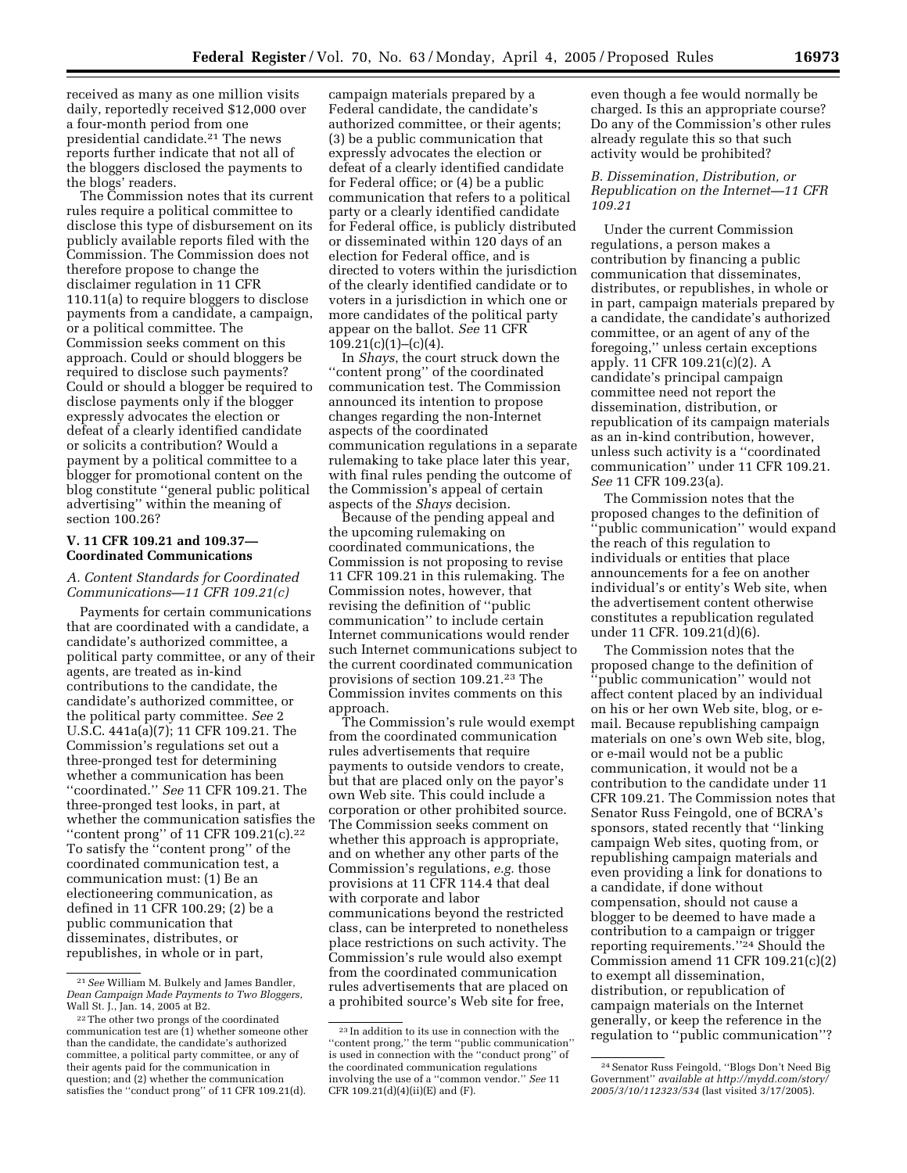received as many as one million visits daily, reportedly received \$12,000 over a four-month period from one presidential candidate.21 The news reports further indicate that not all of the bloggers disclosed the payments to the blogs' readers.

The Commission notes that its current rules require a political committee to disclose this type of disbursement on its publicly available reports filed with the Commission. The Commission does not therefore propose to change the disclaimer regulation in 11 CFR 110.11(a) to require bloggers to disclose payments from a candidate, a campaign, or a political committee. The Commission seeks comment on this approach. Could or should bloggers be required to disclose such payments? Could or should a blogger be required to disclose payments only if the blogger expressly advocates the election or defeat of a clearly identified candidate or solicits a contribution? Would a payment by a political committee to a blogger for promotional content on the blog constitute ''general public political advertising'' within the meaning of section 100.26?

### **V. 11 CFR 109.21 and 109.37— Coordinated Communications**

# *A. Content Standards for Coordinated Communications—11 CFR 109.21(c)*

Payments for certain communications that are coordinated with a candidate, a candidate's authorized committee, a political party committee, or any of their agents, are treated as in-kind contributions to the candidate, the candidate's authorized committee, or the political party committee. *See* 2 U.S.C. 441a(a)(7); 11 CFR 109.21. The Commission's regulations set out a three-pronged test for determining whether a communication has been ''coordinated.'' *See* 11 CFR 109.21. The three-pronged test looks, in part, at whether the communication satisfies the "content prong" of 11 CFR  $109.21(c)$ .<sup>22</sup> To satisfy the ''content prong'' of the coordinated communication test, a communication must: (1) Be an electioneering communication, as defined in 11 CFR 100.29; (2) be a public communication that disseminates, distributes, or republishes, in whole or in part,

campaign materials prepared by a Federal candidate, the candidate's authorized committee, or their agents; (3) be a public communication that expressly advocates the election or defeat of a clearly identified candidate for Federal office; or (4) be a public communication that refers to a political party or a clearly identified candidate for Federal office, is publicly distributed or disseminated within 120 days of an election for Federal office, and is directed to voters within the jurisdiction of the clearly identified candidate or to voters in a jurisdiction in which one or more candidates of the political party appear on the ballot. *See* 11 CFR  $109.21(c)(1)–(c)(4).$ 

In *Shays*, the court struck down the ''content prong'' of the coordinated communication test. The Commission announced its intention to propose changes regarding the non-Internet aspects of the coordinated communication regulations in a separate rulemaking to take place later this year, with final rules pending the outcome of the Commission's appeal of certain aspects of the *Shays* decision.

Because of the pending appeal and the upcoming rulemaking on coordinated communications, the Commission is not proposing to revise 11 CFR 109.21 in this rulemaking. The Commission notes, however, that revising the definition of ''public communication'' to include certain Internet communications would render such Internet communications subject to the current coordinated communication provisions of section 109.21.23 The Commission invites comments on this approach.

The Commission's rule would exempt from the coordinated communication rules advertisements that require payments to outside vendors to create, but that are placed only on the payor's own Web site. This could include a corporation or other prohibited source. The Commission seeks comment on whether this approach is appropriate, and on whether any other parts of the Commission's regulations, *e.g.* those provisions at 11 CFR 114.4 that deal with corporate and labor communications beyond the restricted class, can be interpreted to nonetheless place restrictions on such activity. The Commission's rule would also exempt from the coordinated communication rules advertisements that are placed on a prohibited source's Web site for free,

even though a fee would normally be charged. Is this an appropriate course? Do any of the Commission's other rules already regulate this so that such activity would be prohibited?

# *B. Dissemination, Distribution, or Republication on the Internet—11 CFR 109.21*

Under the current Commission regulations, a person makes a contribution by financing a public communication that disseminates, distributes, or republishes, in whole or in part, campaign materials prepared by a candidate, the candidate's authorized committee, or an agent of any of the foregoing,'' unless certain exceptions apply. 11 CFR 109.21(c)(2). A candidate's principal campaign committee need not report the dissemination, distribution, or republication of its campaign materials as an in-kind contribution, however, unless such activity is a ''coordinated communication'' under 11 CFR 109.21. *See* 11 CFR 109.23(a).

The Commission notes that the proposed changes to the definition of ''public communication'' would expand the reach of this regulation to individuals or entities that place announcements for a fee on another individual's or entity's Web site, when the advertisement content otherwise constitutes a republication regulated under 11 CFR. 109.21(d)(6).

The Commission notes that the proposed change to the definition of 'public communication'' would not affect content placed by an individual on his or her own Web site, blog, or email. Because republishing campaign materials on one's own Web site, blog, or e-mail would not be a public communication, it would not be a contribution to the candidate under 11 CFR 109.21. The Commission notes that Senator Russ Feingold, one of BCRA's sponsors, stated recently that ''linking campaign Web sites, quoting from, or republishing campaign materials and even providing a link for donations to a candidate, if done without compensation, should not cause a blogger to be deemed to have made a contribution to a campaign or trigger reporting requirements.''24 Should the Commission amend 11 CFR 109.21(c)(2) to exempt all dissemination, distribution, or republication of campaign materials on the Internet generally, or keep the reference in the regulation to ''public communication''?

<sup>21</sup>*See* William M. Bulkely and James Bandler, *Dean Campaign Made Payments to Two Bloggers*, Wall St. J., Jan. 14, 2005 at B2.

<sup>22</sup>The other two prongs of the coordinated communication test are (1) whether someone other than the candidate, the candidate's authorized committee, a political party committee, or any of their agents paid for the communication in question; and (2) whether the communication satisfies the ''conduct prong'' of 11 CFR 109.21(d).

<sup>23</sup> In addition to its use in connection with the ''content prong,'' the term ''public communication'' is used in connection with the ''conduct prong'' of the coordinated communication regulations involving the use of a ''common vendor.'' *See* 11 CFR 109.21(d)(4)(ii)(E) and (F).

<sup>24</sup>Senator Russ Feingold, ''Blogs Don't Need Big Government'' *[available at http://mydd.com/story/](http://mydd.com/story/2005/3/10/112323/534) 2005/3/10/112323/534* (last visited 3/17/2005).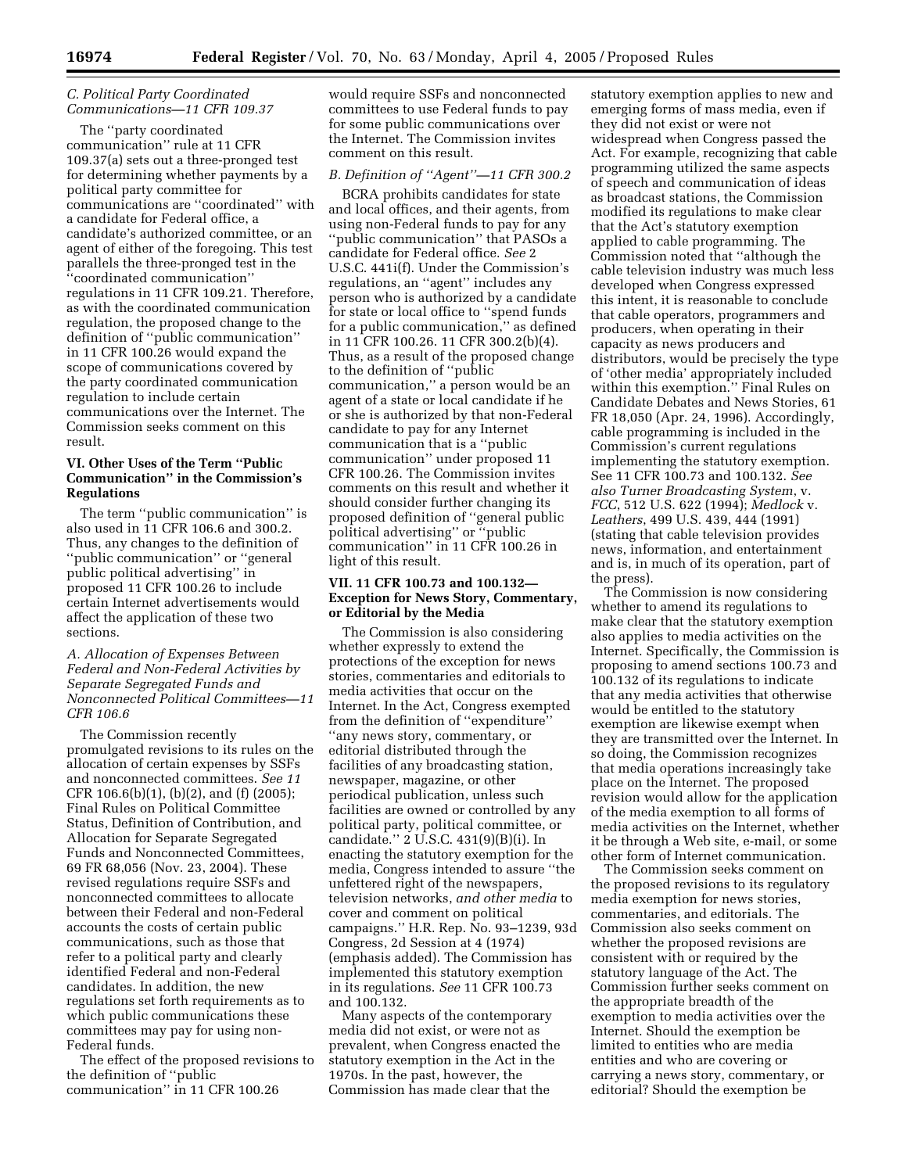# *C. Political Party Coordinated Communications—11 CFR 109.37*

The ''party coordinated communication'' rule at 11 CFR 109.37(a) sets out a three-pronged test for determining whether payments by a political party committee for communications are ''coordinated'' with a candidate for Federal office, a candidate's authorized committee, or an agent of either of the foregoing. This test parallels the three-pronged test in the ''coordinated communication'' regulations in 11 CFR 109.21. Therefore, as with the coordinated communication regulation, the proposed change to the definition of ''public communication'' in 11 CFR 100.26 would expand the scope of communications covered by the party coordinated communication regulation to include certain communications over the Internet. The Commission seeks comment on this result.

# **VI. Other Uses of the Term ''Public Communication'' in the Commission's Regulations**

The term ''public communication'' is also used in 11 CFR 106.6 and 300.2. Thus, any changes to the definition of ''public communication'' or ''general public political advertising'' in proposed 11 CFR 100.26 to include certain Internet advertisements would affect the application of these two sections.

# *A. Allocation of Expenses Between Federal and Non-Federal Activities by Separate Segregated Funds and Nonconnected Political Committees—11 CFR 106.6*

The Commission recently promulgated revisions to its rules on the allocation of certain expenses by SSFs and nonconnected committees. *See 11* CFR 106.6(b)(1), (b)(2), and (f) (2005); Final Rules on Political Committee Status, Definition of Contribution, and Allocation for Separate Segregated Funds and Nonconnected Committees, 69 FR 68,056 (Nov. 23, 2004). These revised regulations require SSFs and nonconnected committees to allocate between their Federal and non-Federal accounts the costs of certain public communications, such as those that refer to a political party and clearly identified Federal and non-Federal candidates. In addition, the new regulations set forth requirements as to which public communications these committees may pay for using non-Federal funds.

The effect of the proposed revisions to the definition of ''public communication'' in 11 CFR 100.26

would require SSFs and nonconnected committees to use Federal funds to pay for some public communications over the Internet. The Commission invites comment on this result.

### *B. Definition of ''Agent''—11 CFR 300.2*

BCRA prohibits candidates for state and local offices, and their agents, from using non-Federal funds to pay for any ''public communication'' that PASOs a candidate for Federal office. *See* 2 U.S.C. 441i(f). Under the Commission's regulations, an ''agent'' includes any person who is authorized by a candidate for state or local office to ''spend funds for a public communication,'' as defined in 11 CFR 100.26. 11 CFR 300.2(b)(4). Thus, as a result of the proposed change to the definition of ''public communication,'' a person would be an agent of a state or local candidate if he or she is authorized by that non-Federal candidate to pay for any Internet communication that is a ''public communication'' under proposed 11 CFR 100.26. The Commission invites comments on this result and whether it should consider further changing its proposed definition of ''general public political advertising'' or ''public communication'' in 11 CFR 100.26 in light of this result.

# **VII. 11 CFR 100.73 and 100.132— Exception for News Story, Commentary, or Editorial by the Media**

The Commission is also considering whether expressly to extend the protections of the exception for news stories, commentaries and editorials to media activities that occur on the Internet. In the Act, Congress exempted from the definition of ''expenditure'' ''any news story, commentary, or editorial distributed through the facilities of any broadcasting station, newspaper, magazine, or other periodical publication, unless such facilities are owned or controlled by any political party, political committee, or candidate.'' 2 U.S.C. 431(9)(B)(i). In enacting the statutory exemption for the media, Congress intended to assure ''the unfettered right of the newspapers, television networks, *and other media* to cover and comment on political campaigns.'' H.R. Rep. No. 93–1239, 93d Congress, 2d Session at 4 (1974) (emphasis added). The Commission has implemented this statutory exemption in its regulations. *See* 11 CFR 100.73 and 100.132.

Many aspects of the contemporary media did not exist, or were not as prevalent, when Congress enacted the statutory exemption in the Act in the 1970s. In the past, however, the Commission has made clear that the

statutory exemption applies to new and emerging forms of mass media, even if they did not exist or were not widespread when Congress passed the Act. For example, recognizing that cable programming utilized the same aspects of speech and communication of ideas as broadcast stations, the Commission modified its regulations to make clear that the Act's statutory exemption applied to cable programming. The Commission noted that ''although the cable television industry was much less developed when Congress expressed this intent, it is reasonable to conclude that cable operators, programmers and producers, when operating in their capacity as news producers and distributors, would be precisely the type of 'other media' appropriately included within this exemption.'' Final Rules on Candidate Debates and News Stories, 61 FR 18,050 (Apr. 24, 1996). Accordingly, cable programming is included in the Commission's current regulations implementing the statutory exemption. See 11 CFR 100.73 and 100.132. *See also Turner Broadcasting System*, v. *FCC*, 512 U.S. 622 (1994); *Medlock* v. *Leathers*, 499 U.S. 439, 444 (1991) (stating that cable television provides news, information, and entertainment and is, in much of its operation, part of the press).

The Commission is now considering whether to amend its regulations to make clear that the statutory exemption also applies to media activities on the Internet. Specifically, the Commission is proposing to amend sections 100.73 and 100.132 of its regulations to indicate that any media activities that otherwise would be entitled to the statutory exemption are likewise exempt when they are transmitted over the Internet. In so doing, the Commission recognizes that media operations increasingly take place on the Internet. The proposed revision would allow for the application of the media exemption to all forms of media activities on the Internet, whether it be through a Web site, e-mail, or some other form of Internet communication.

The Commission seeks comment on the proposed revisions to its regulatory media exemption for news stories, commentaries, and editorials. The Commission also seeks comment on whether the proposed revisions are consistent with or required by the statutory language of the Act. The Commission further seeks comment on the appropriate breadth of the exemption to media activities over the Internet. Should the exemption be limited to entities who are media entities and who are covering or carrying a news story, commentary, or editorial? Should the exemption be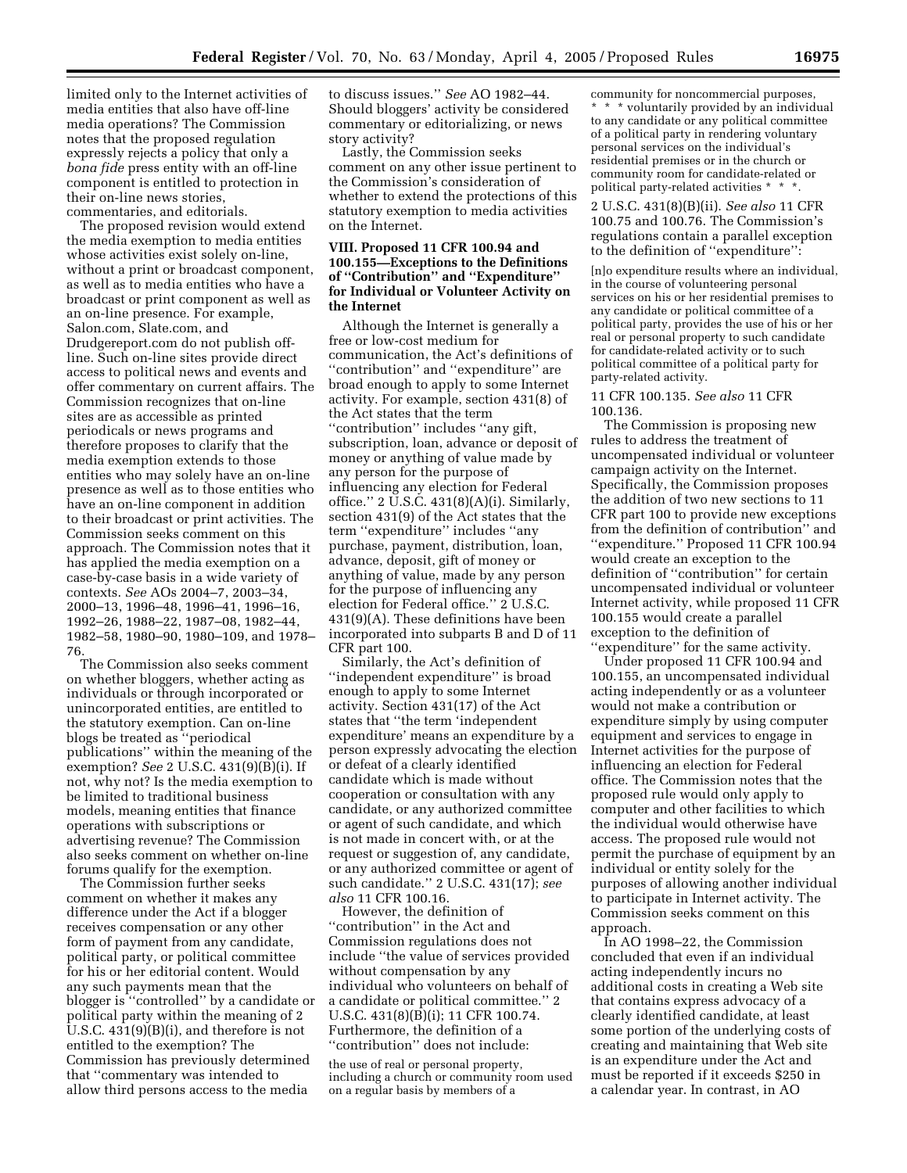limited only to the Internet activities of media entities that also have off-line media operations? The Commission notes that the proposed regulation expressly rejects a policy that only a *bona fide* press entity with an off-line component is entitled to protection in their on-line news stories, commentaries, and editorials.

The proposed revision would extend the media exemption to media entities whose activities exist solely on-line, without a print or broadcast component, as well as to media entities who have a broadcast or print component as well as an on-line presence. For example, Salon.com, Slate.com, and Drudgereport.com do not publish offline. Such on-line sites provide direct access to political news and events and offer commentary on current affairs. The Commission recognizes that on-line sites are as accessible as printed periodicals or news programs and therefore proposes to clarify that the media exemption extends to those entities who may solely have an on-line presence as well as to those entities who have an on-line component in addition to their broadcast or print activities. The Commission seeks comment on this approach. The Commission notes that it has applied the media exemption on a case-by-case basis in a wide variety of contexts. *See* AOs 2004–7, 2003–34, 2000–13, 1996–48, 1996–41, 1996–16, 1992–26, 1988–22, 1987–08, 1982–44, 1982–58, 1980–90, 1980–109, and 1978– 76.

The Commission also seeks comment on whether bloggers, whether acting as individuals or through incorporated or unincorporated entities, are entitled to the statutory exemption. Can on-line blogs be treated as ''periodical publications'' within the meaning of the exemption? *See* 2 U.S.C. 431(9)(B)(i). If not, why not? Is the media exemption to be limited to traditional business models, meaning entities that finance operations with subscriptions or advertising revenue? The Commission also seeks comment on whether on-line forums qualify for the exemption.

The Commission further seeks comment on whether it makes any difference under the Act if a blogger receives compensation or any other form of payment from any candidate, political party, or political committee for his or her editorial content. Would any such payments mean that the blogger is ''controlled'' by a candidate or political party within the meaning of 2 U.S.C. 431(9)(B)(i), and therefore is not entitled to the exemption? The Commission has previously determined that ''commentary was intended to allow third persons access to the media

to discuss issues.'' *See* AO 1982–44. Should bloggers' activity be considered commentary or editorializing, or news story activity?

Lastly, the Commission seeks comment on any other issue pertinent to the Commission's consideration of whether to extend the protections of this statutory exemption to media activities on the Internet.

# **VIII. Proposed 11 CFR 100.94 and 100.155—Exceptions to the Definitions of ''Contribution'' and ''Expenditure'' for Individual or Volunteer Activity on the Internet**

Although the Internet is generally a free or low-cost medium for communication, the Act's definitions of ''contribution'' and ''expenditure'' are broad enough to apply to some Internet activity. For example, section 431(8) of the Act states that the term ''contribution'' includes ''any gift, subscription, loan, advance or deposit of money or anything of value made by any person for the purpose of influencing any election for Federal office.'' 2 U.S.C. 431(8)(A)(i). Similarly, section 431(9) of the Act states that the term ''expenditure'' includes ''any purchase, payment, distribution, loan, advance, deposit, gift of money or anything of value, made by any person for the purpose of influencing any election for Federal office.'' 2 U.S.C. 431(9)(A). These definitions have been incorporated into subparts B and D of 11 CFR part 100.

Similarly, the Act's definition of ''independent expenditure'' is broad enough to apply to some Internet activity. Section 431(17) of the Act states that ''the term 'independent expenditure' means an expenditure by a person expressly advocating the election or defeat of a clearly identified candidate which is made without cooperation or consultation with any candidate, or any authorized committee or agent of such candidate, and which is not made in concert with, or at the request or suggestion of, any candidate, or any authorized committee or agent of such candidate.'' 2 U.S.C. 431(17); *see also* 11 CFR 100.16.

However, the definition of ''contribution'' in the Act and Commission regulations does not include ''the value of services provided without compensation by any individual who volunteers on behalf of a candidate or political committee.'' 2 U.S.C. 431(8)(B)(i); 11 CFR 100.74. Furthermore, the definition of a ''contribution'' does not include:

the use of real or personal property, including a church or community room used on a regular basis by members of a

community for noncommercial purposes, \* \* \* voluntarily provided by an individual to any candidate or any political committee of a political party in rendering voluntary personal services on the individual's residential premises or in the church or community room for candidate-related or political party-related activities \* \* \*.

2 U.S.C. 431(8)(B)(ii). *See also* 11 CFR 100.75 and 100.76. The Commission's regulations contain a parallel exception to the definition of ''expenditure'':

[n]o expenditure results where an individual, in the course of volunteering personal services on his or her residential premises to any candidate or political committee of a political party, provides the use of his or her real or personal property to such candidate for candidate-related activity or to such political committee of a political party for party-related activity.

#### 11 CFR 100.135. *See also* 11 CFR 100.136.

The Commission is proposing new rules to address the treatment of uncompensated individual or volunteer campaign activity on the Internet. Specifically, the Commission proposes the addition of two new sections to 11 CFR part 100 to provide new exceptions from the definition of contribution'' and ''expenditure.'' Proposed 11 CFR 100.94 would create an exception to the definition of ''contribution'' for certain uncompensated individual or volunteer Internet activity, while proposed 11 CFR 100.155 would create a parallel exception to the definition of ''expenditure'' for the same activity.

Under proposed 11 CFR 100.94 and 100.155, an uncompensated individual acting independently or as a volunteer would not make a contribution or expenditure simply by using computer equipment and services to engage in Internet activities for the purpose of influencing an election for Federal office. The Commission notes that the proposed rule would only apply to computer and other facilities to which the individual would otherwise have access. The proposed rule would not permit the purchase of equipment by an individual or entity solely for the purposes of allowing another individual to participate in Internet activity. The Commission seeks comment on this approach.

In AO 1998–22, the Commission concluded that even if an individual acting independently incurs no additional costs in creating a Web site that contains express advocacy of a clearly identified candidate, at least some portion of the underlying costs of creating and maintaining that Web site is an expenditure under the Act and must be reported if it exceeds \$250 in a calendar year. In contrast, in AO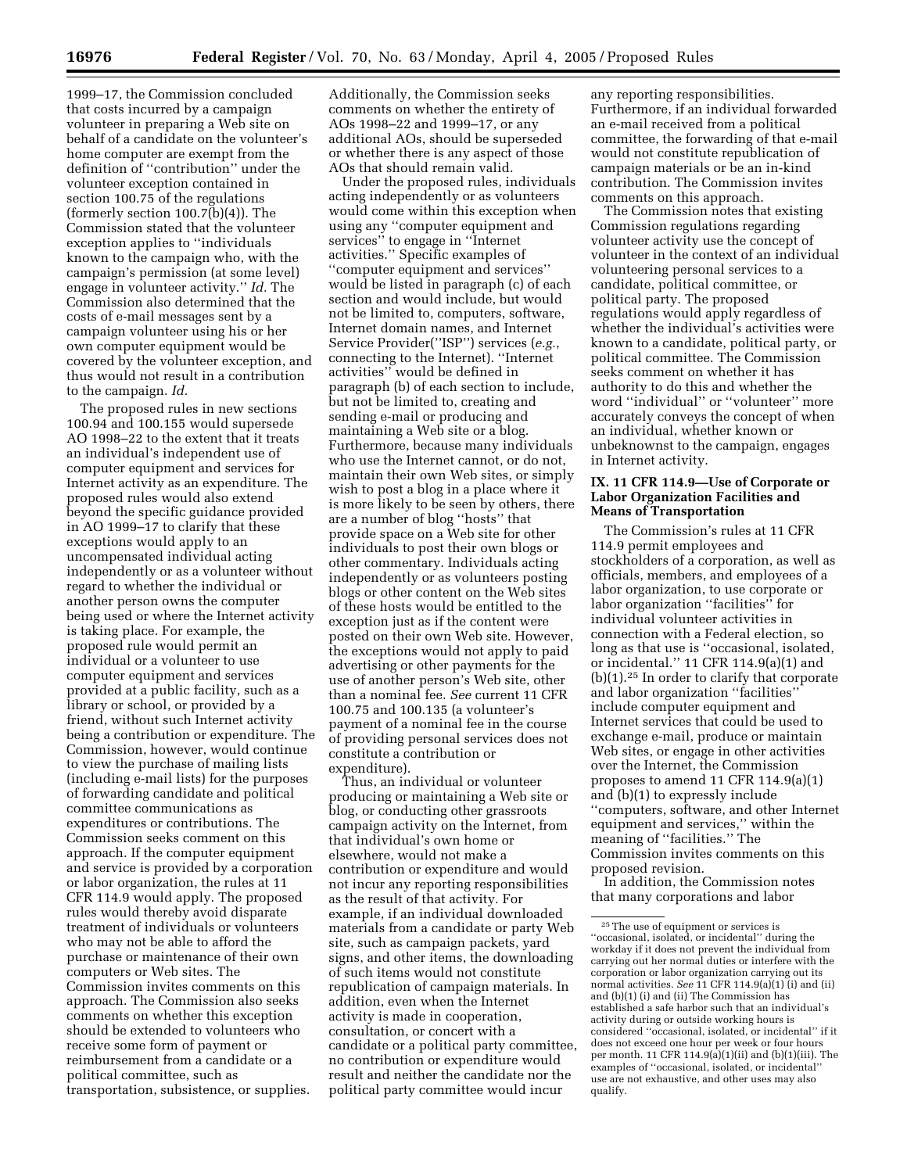1999–17, the Commission concluded that costs incurred by a campaign volunteer in preparing a Web site on behalf of a candidate on the volunteer's home computer are exempt from the definition of ''contribution'' under the volunteer exception contained in section 100.75 of the regulations (formerly section 100.7(b)(4)). The Commission stated that the volunteer exception applies to ''individuals known to the campaign who, with the campaign's permission (at some level) engage in volunteer activity.'' *Id.* The Commission also determined that the costs of e-mail messages sent by a campaign volunteer using his or her own computer equipment would be covered by the volunteer exception, and thus would not result in a contribution to the campaign. *Id.*

The proposed rules in new sections 100.94 and 100.155 would supersede AO 1998–22 to the extent that it treats an individual's independent use of computer equipment and services for Internet activity as an expenditure. The proposed rules would also extend beyond the specific guidance provided in AO 1999–17 to clarify that these exceptions would apply to an uncompensated individual acting independently or as a volunteer without regard to whether the individual or another person owns the computer being used or where the Internet activity is taking place. For example, the proposed rule would permit an individual or a volunteer to use computer equipment and services provided at a public facility, such as a library or school, or provided by a friend, without such Internet activity being a contribution or expenditure. The Commission, however, would continue to view the purchase of mailing lists (including e-mail lists) for the purposes of forwarding candidate and political committee communications as expenditures or contributions. The Commission seeks comment on this approach. If the computer equipment and service is provided by a corporation or labor organization, the rules at 11 CFR 114.9 would apply. The proposed rules would thereby avoid disparate treatment of individuals or volunteers who may not be able to afford the purchase or maintenance of their own computers or Web sites. The Commission invites comments on this approach. The Commission also seeks comments on whether this exception should be extended to volunteers who receive some form of payment or reimbursement from a candidate or a political committee, such as transportation, subsistence, or supplies.

Additionally, the Commission seeks comments on whether the entirety of AOs 1998–22 and 1999–17, or any additional AOs, should be superseded or whether there is any aspect of those AOs that should remain valid.

Under the proposed rules, individuals acting independently or as volunteers would come within this exception when using any ''computer equipment and services'' to engage in ''Internet activities.'' Specific examples of ''computer equipment and services'' would be listed in paragraph (c) of each section and would include, but would not be limited to, computers, software, Internet domain names, and Internet Service Provider(''ISP'') services (*e.g.*, connecting to the Internet). ''Internet activities'' would be defined in paragraph (b) of each section to include, but not be limited to, creating and sending e-mail or producing and maintaining a Web site or a blog. Furthermore, because many individuals who use the Internet cannot, or do not, maintain their own Web sites, or simply wish to post a blog in a place where it is more likely to be seen by others, there are a number of blog ''hosts'' that provide space on a Web site for other individuals to post their own blogs or other commentary. Individuals acting independently or as volunteers posting blogs or other content on the Web sites of these hosts would be entitled to the exception just as if the content were posted on their own Web site. However, the exceptions would not apply to paid advertising or other payments for the use of another person's Web site, other than a nominal fee. *See* current 11 CFR 100.75 and 100.135 (a volunteer's payment of a nominal fee in the course of providing personal services does not constitute a contribution or expenditure).

Thus, an individual or volunteer producing or maintaining a Web site or blog, or conducting other grassroots campaign activity on the Internet, from that individual's own home or elsewhere, would not make a contribution or expenditure and would not incur any reporting responsibilities as the result of that activity. For example, if an individual downloaded materials from a candidate or party Web site, such as campaign packets, yard signs, and other items, the downloading of such items would not constitute republication of campaign materials. In addition, even when the Internet activity is made in cooperation, consultation, or concert with a candidate or a political party committee, no contribution or expenditure would result and neither the candidate nor the political party committee would incur

any reporting responsibilities. Furthermore, if an individual forwarded an e-mail received from a political committee, the forwarding of that e-mail would not constitute republication of campaign materials or be an in-kind contribution. The Commission invites comments on this approach.

The Commission notes that existing Commission regulations regarding volunteer activity use the concept of volunteer in the context of an individual volunteering personal services to a candidate, political committee, or political party. The proposed regulations would apply regardless of whether the individual's activities were known to a candidate, political party, or political committee. The Commission seeks comment on whether it has authority to do this and whether the word ''individual'' or ''volunteer'' more accurately conveys the concept of when an individual, whether known or unbeknownst to the campaign, engages in Internet activity.

### **IX. 11 CFR 114.9—Use of Corporate or Labor Organization Facilities and Means of Transportation**

The Commission's rules at 11 CFR 114.9 permit employees and stockholders of a corporation, as well as officials, members, and employees of a labor organization, to use corporate or labor organization ''facilities'' for individual volunteer activities in connection with a Federal election, so long as that use is ''occasional, isolated, or incidental.'' 11 CFR 114.9(a)(1) and (b)(1).25 In order to clarify that corporate and labor organization ''facilities'' include computer equipment and Internet services that could be used to exchange e-mail, produce or maintain Web sites, or engage in other activities over the Internet, the Commission proposes to amend 11 CFR 114.9(a)(1) and (b)(1) to expressly include ''computers, software, and other Internet equipment and services,'' within the meaning of ''facilities.'' The Commission invites comments on this proposed revision.

In addition, the Commission notes that many corporations and labor

<sup>25</sup>The use of equipment or services is ''occasional, isolated, or incidental'' during the workday if it does not prevent the individual from carrying out her normal duties or interfere with the corporation or labor organization carrying out its normal activities. *See* 11 CFR 114.9(a)(1) (i) and (ii) and (b)(1) (i) and (ii) The Commission has established a safe harbor such that an individual's activity during or outside working hours is considered ''occasional, isolated, or incidental'' if it does not exceed one hour per week or four hours per month. 11 CFR 114.9(a)(1)(ii) and (b)(1)(iii). The examples of ''occasional, isolated, or incidental'' use are not exhaustive, and other uses may also qualify.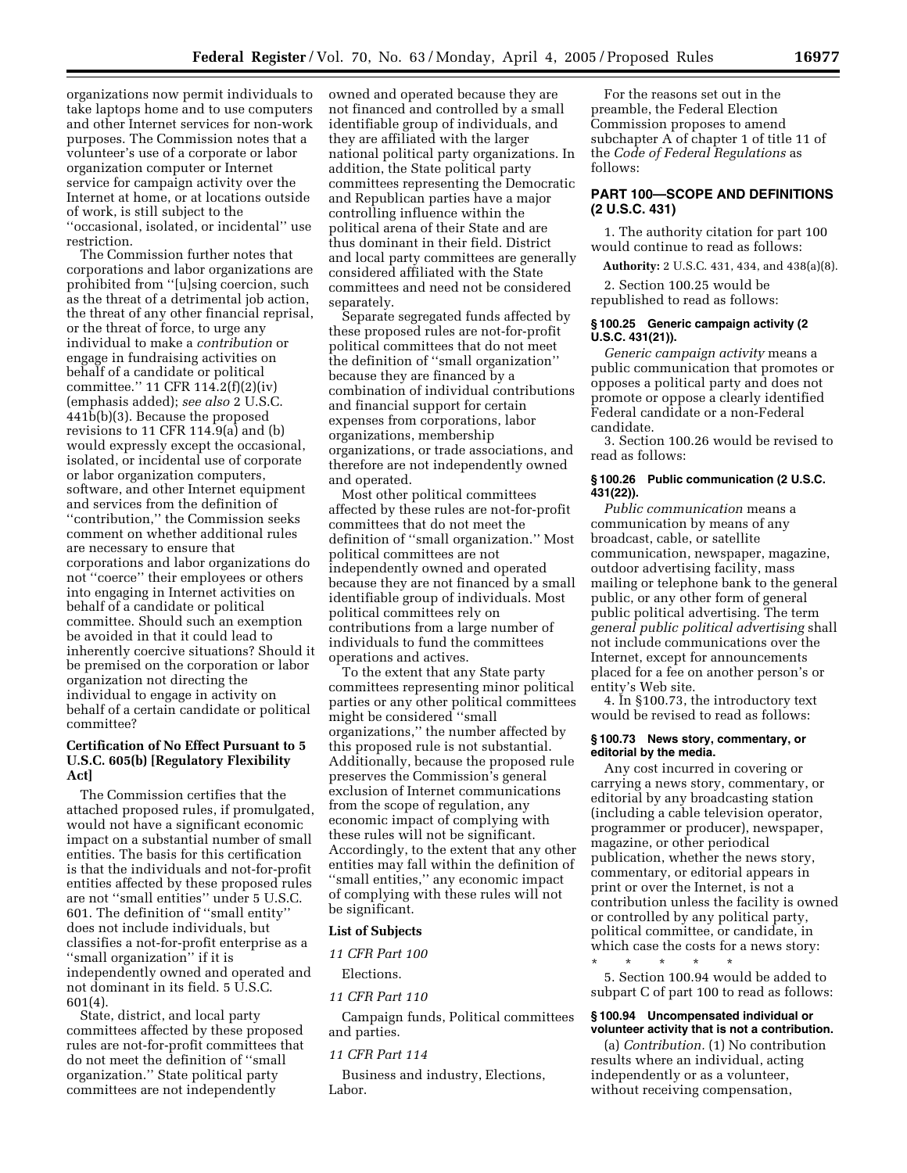organizations now permit individuals to take laptops home and to use computers and other Internet services for non-work purposes. The Commission notes that a volunteer's use of a corporate or labor organization computer or Internet service for campaign activity over the Internet at home, or at locations outside of work, is still subject to the ''occasional, isolated, or incidental'' use restriction.

The Commission further notes that corporations and labor organizations are prohibited from ''[u]sing coercion, such as the threat of a detrimental job action, the threat of any other financial reprisal, or the threat of force, to urge any individual to make a *contribution* or engage in fundraising activities on behalf of a candidate or political committee.'' 11 CFR 114.2(f)(2)(iv) (emphasis added); *see also* 2 U.S.C. 441b(b)(3). Because the proposed revisions to 11 CFR 114.9(a) and (b) would expressly except the occasional, isolated, or incidental use of corporate or labor organization computers, software, and other Internet equipment and services from the definition of ''contribution,'' the Commission seeks comment on whether additional rules are necessary to ensure that corporations and labor organizations do not ''coerce'' their employees or others into engaging in Internet activities on behalf of a candidate or political committee. Should such an exemption be avoided in that it could lead to inherently coercive situations? Should it be premised on the corporation or labor organization not directing the individual to engage in activity on behalf of a certain candidate or political committee?

### **Certification of No Effect Pursuant to 5 U.S.C. 605(b) [Regulatory Flexibility Act]**

The Commission certifies that the attached proposed rules, if promulgated, would not have a significant economic impact on a substantial number of small entities. The basis for this certification is that the individuals and not-for-profit entities affected by these proposed rules are not ''small entities'' under 5 U.S.C. 601. The definition of ''small entity'' does not include individuals, but classifies a not-for-profit enterprise as a ''small organization'' if it is independently owned and operated and not dominant in its field. 5 U.S.C. 601(4).

State, district, and local party committees affected by these proposed rules are not-for-profit committees that do not meet the definition of ''small organization.'' State political party committees are not independently

owned and operated because they are not financed and controlled by a small identifiable group of individuals, and they are affiliated with the larger national political party organizations. In addition, the State political party committees representing the Democratic and Republican parties have a major controlling influence within the political arena of their State and are thus dominant in their field. District and local party committees are generally considered affiliated with the State committees and need not be considered separately.

Separate segregated funds affected by these proposed rules are not-for-profit political committees that do not meet the definition of ''small organization'' because they are financed by a combination of individual contributions and financial support for certain expenses from corporations, labor organizations, membership organizations, or trade associations, and therefore are not independently owned and operated.

Most other political committees affected by these rules are not-for-profit committees that do not meet the definition of ''small organization.'' Most political committees are not independently owned and operated because they are not financed by a small identifiable group of individuals. Most political committees rely on contributions from a large number of individuals to fund the committees operations and actives.

To the extent that any State party committees representing minor political parties or any other political committees might be considered ''small organizations,'' the number affected by this proposed rule is not substantial. Additionally, because the proposed rule preserves the Commission's general exclusion of Internet communications from the scope of regulation, any economic impact of complying with these rules will not be significant. Accordingly, to the extent that any other entities may fall within the definition of ''small entities,'' any economic impact of complying with these rules will not be significant.

#### **List of Subjects**

# *11 CFR Part 100*

# Elections.

*11 CFR Part 110* 

Campaign funds, Political committees and parties.

#### *11 CFR Part 114*

Business and industry, Elections, Labor.

For the reasons set out in the preamble, the Federal Election Commission proposes to amend subchapter A of chapter 1 of title 11 of the *Code of Federal Regulations* as follows:

# **PART 100—SCOPE AND DEFINITIONS (2 U.S.C. 431)**

1. The authority citation for part 100 would continue to read as follows:

**Authority:** 2 U.S.C. 431, 434, and 438(a)(8).

2. Section 100.25 would be republished to read as follows:

#### **§ 100.25 Generic campaign activity (2 U.S.C. 431(21)).**

*Generic campaign activity* means a public communication that promotes or opposes a political party and does not promote or oppose a clearly identified Federal candidate or a non-Federal candidate.

3. Section 100.26 would be revised to read as follows:

### **§ 100.26 Public communication (2 U.S.C. 431(22)).**

*Public communication* means a communication by means of any broadcast, cable, or satellite communication, newspaper, magazine, outdoor advertising facility, mass mailing or telephone bank to the general public, or any other form of general public political advertising. The term *general public political advertising* shall not include communications over the Internet, except for announcements placed for a fee on another person's or entity's Web site.

4. In §100.73, the introductory text would be revised to read as follows:

#### **§ 100.73 News story, commentary, or editorial by the media.**

Any cost incurred in covering or carrying a news story, commentary, or editorial by any broadcasting station (including a cable television operator, programmer or producer), newspaper, magazine, or other periodical publication, whether the news story, commentary, or editorial appears in print or over the Internet, is not a contribution unless the facility is owned or controlled by any political party, political committee, or candidate, in which case the costs for a news story:

\* \* \* \* \* 5. Section 100.94 would be added to subpart C of part 100 to read as follows:

### **§ 100.94 Uncompensated individual or volunteer activity that is not a contribution.**

(a) *Contribution.* (1) No contribution results where an individual, acting independently or as a volunteer, without receiving compensation,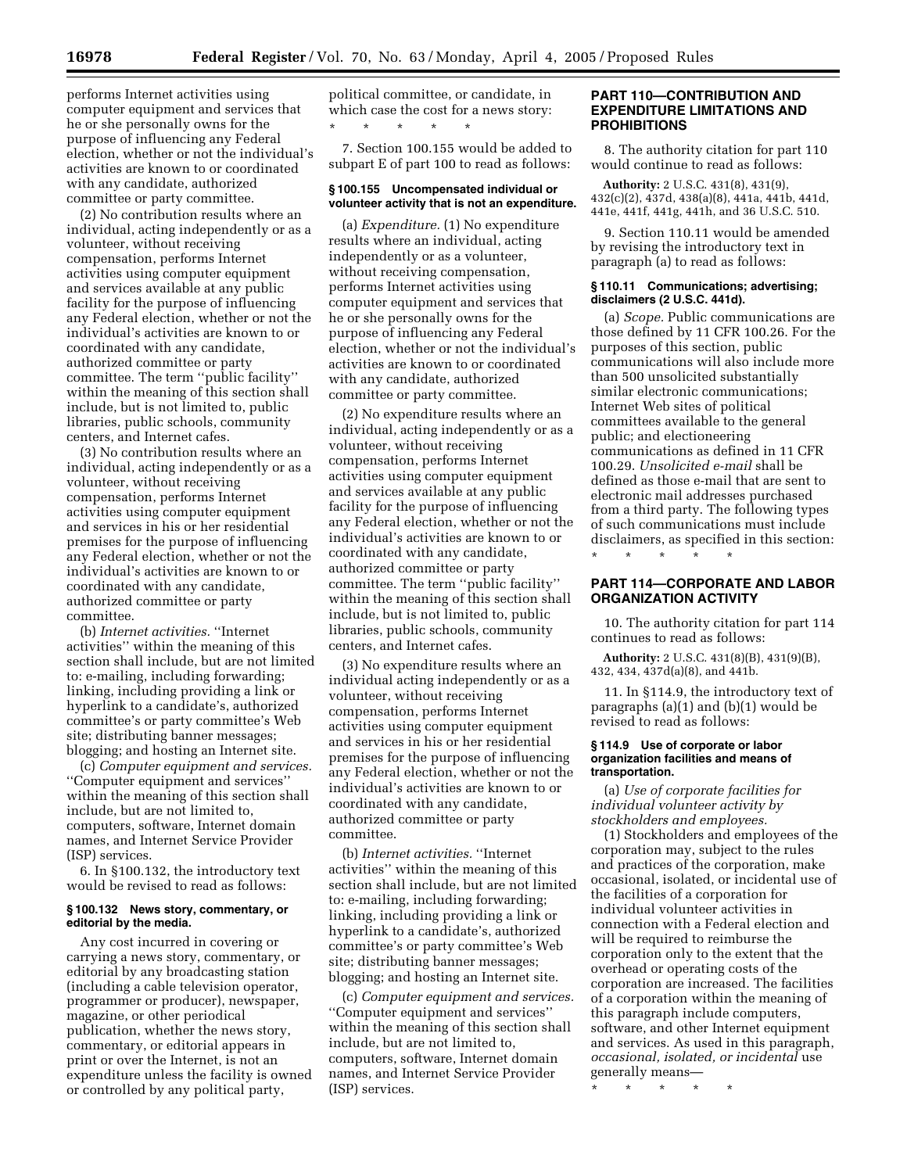computer equipment and services that he or she personally owns for the purpose of influencing any Federal election, whether or not the individual's activities are known to or coordinated with any candidate, authorized committee or party committee.

(2) No contribution results where an individual, acting independently or as a volunteer, without receiving compensation, performs Internet activities using computer equipment and services available at any public facility for the purpose of influencing any Federal election, whether or not the individual's activities are known to or coordinated with any candidate, authorized committee or party committee. The term ''public facility'' within the meaning of this section shall include, but is not limited to, public libraries, public schools, community centers, and Internet cafes.

(3) No contribution results where an individual, acting independently or as a volunteer, without receiving compensation, performs Internet activities using computer equipment and services in his or her residential premises for the purpose of influencing any Federal election, whether or not the individual's activities are known to or coordinated with any candidate, authorized committee or party committee.

(b) *Internet activities.* ''Internet activities'' within the meaning of this section shall include, but are not limited to: e-mailing, including forwarding; linking, including providing a link or hyperlink to a candidate's, authorized committee's or party committee's Web site; distributing banner messages; blogging; and hosting an Internet site.

(c) *Computer equipment and services.* ''Computer equipment and services'' within the meaning of this section shall include, but are not limited to, computers, software, Internet domain names, and Internet Service Provider (ISP) services.

6. In §100.132, the introductory text would be revised to read as follows:

### **§ 100.132 News story, commentary, or editorial by the media.**

Any cost incurred in covering or carrying a news story, commentary, or editorial by any broadcasting station (including a cable television operator, programmer or producer), newspaper, magazine, or other periodical publication, whether the news story, commentary, or editorial appears in print or over the Internet, is not an expenditure unless the facility is owned or controlled by any political party,

political committee, or candidate, in which case the cost for a news story: \* \* \* \* \*

7. Section 100.155 would be added to subpart E of part 100 to read as follows:

### **§ 100.155 Uncompensated individual or volunteer activity that is not an expenditure.**

(a) *Expenditure.* (1) No expenditure results where an individual, acting independently or as a volunteer, without receiving compensation, performs Internet activities using computer equipment and services that he or she personally owns for the purpose of influencing any Federal election, whether or not the individual's activities are known to or coordinated with any candidate, authorized committee or party committee.

(2) No expenditure results where an individual, acting independently or as a volunteer, without receiving compensation, performs Internet activities using computer equipment and services available at any public facility for the purpose of influencing any Federal election, whether or not the individual's activities are known to or coordinated with any candidate, authorized committee or party committee. The term ''public facility'' within the meaning of this section shall include, but is not limited to, public libraries, public schools, community centers, and Internet cafes.

(3) No expenditure results where an individual acting independently or as a volunteer, without receiving compensation, performs Internet activities using computer equipment and services in his or her residential premises for the purpose of influencing any Federal election, whether or not the individual's activities are known to or coordinated with any candidate, authorized committee or party committee.

(b) *Internet activities.* ''Internet activities'' within the meaning of this section shall include, but are not limited to: e-mailing, including forwarding; linking, including providing a link or hyperlink to a candidate's, authorized committee's or party committee's Web site; distributing banner messages; blogging; and hosting an Internet site.

(c) *Computer equipment and services.* ''Computer equipment and services'' within the meaning of this section shall include, but are not limited to, computers, software, Internet domain names, and Internet Service Provider (ISP) services.

### **PART 110—CONTRIBUTION AND EXPENDITURE LIMITATIONS AND PROHIBITIONS**

8. The authority citation for part 110 would continue to read as follows:

**Authority:** 2 U.S.C. 431(8), 431(9), 432(c)(2), 437d, 438(a)(8), 441a, 441b, 441d, 441e, 441f, 441g, 441h, and 36 U.S.C. 510.

9. Section 110.11 would be amended by revising the introductory text in paragraph (a) to read as follows:

#### **§ 110.11 Communications; advertising; disclaimers (2 U.S.C. 441d).**

(a) *Scope.* Public communications are those defined by 11 CFR 100.26. For the purposes of this section, public communications will also include more than 500 unsolicited substantially similar electronic communications; Internet Web sites of political committees available to the general public; and electioneering communications as defined in 11 CFR 100.29. *Unsolicited e-mail* shall be defined as those e-mail that are sent to electronic mail addresses purchased from a third party. The following types of such communications must include disclaimers, as specified in this section:

\* \* \* \* \*

### **PART 114—CORPORATE AND LABOR ORGANIZATION ACTIVITY**

10. The authority citation for part 114 continues to read as follows:

**Authority:** 2 U.S.C. 431(8)(B), 431(9)(B), 432, 434, 437d(a)(8), and 441b.

11. In §114.9, the introductory text of paragraphs (a)(1) and (b)(1) would be revised to read as follows:

#### **§ 114.9 Use of corporate or labor organization facilities and means of transportation.**

(a) *Use of corporate facilities for individual volunteer activity by stockholders and employees.*

(1) Stockholders and employees of the corporation may, subject to the rules and practices of the corporation, make occasional, isolated, or incidental use of the facilities of a corporation for individual volunteer activities in connection with a Federal election and will be required to reimburse the corporation only to the extent that the overhead or operating costs of the corporation are increased. The facilities of a corporation within the meaning of this paragraph include computers, software, and other Internet equipment and services. As used in this paragraph, *occasional, isolated, or incidental* use generally means—

\* \* \* \* \*